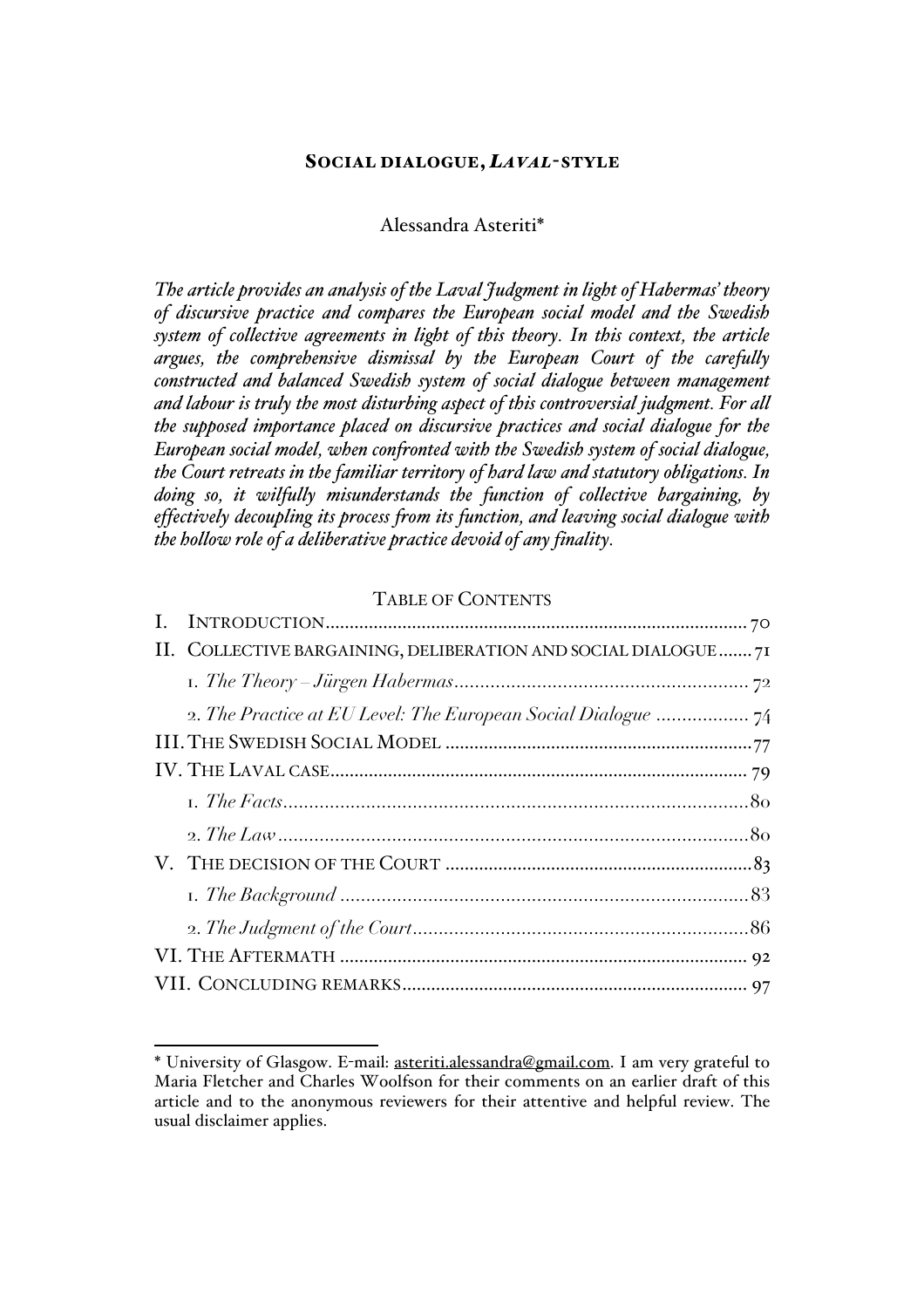### SOCIAL DIALOGUE, *LAVAL*-STYLE

#### Alessandra Asteriti\*

*The article provides an analysis of the Laval Judgment in light of Habermas' theory of discursive practice and compares the European social model and the Swedish system of collective agreements in light of this theory. In this context, the article argues, the comprehensive dismissal by the European Court of the carefully constructed and balanced Swedish system of social dialogue between management and labour is truly the most disturbing aspect of this controversial judgment. For all the supposed importance placed on discursive practices and social dialogue for the European social model, when confronted with the Swedish system of social dialogue, the Court retreats in the familiar territory of hard law and statutory obligations. In doing so, it wilfully misunderstands the function of collective bargaining, by effectively decoupling its process from its function, and leaving social dialogue with the hollow role of a deliberative practice devoid of any finality.*

### TABLE OF CONTENTS

| II. COLLECTIVE BARGAINING, DELIBERATION AND SOCIAL DIALOGUE  71 |  |  |
|-----------------------------------------------------------------|--|--|
|                                                                 |  |  |
|                                                                 |  |  |
|                                                                 |  |  |
|                                                                 |  |  |
|                                                                 |  |  |
|                                                                 |  |  |
|                                                                 |  |  |
|                                                                 |  |  |
|                                                                 |  |  |
|                                                                 |  |  |
|                                                                 |  |  |

 <sup>\*</sup> University of Glasgow. E-mail: asteriti.alessandra@gmail.com. I am very grateful to Maria Fletcher and Charles Woolfson for their comments on an earlier draft of this article and to the anonymous reviewers for their attentive and helpful review. The usual disclaimer applies.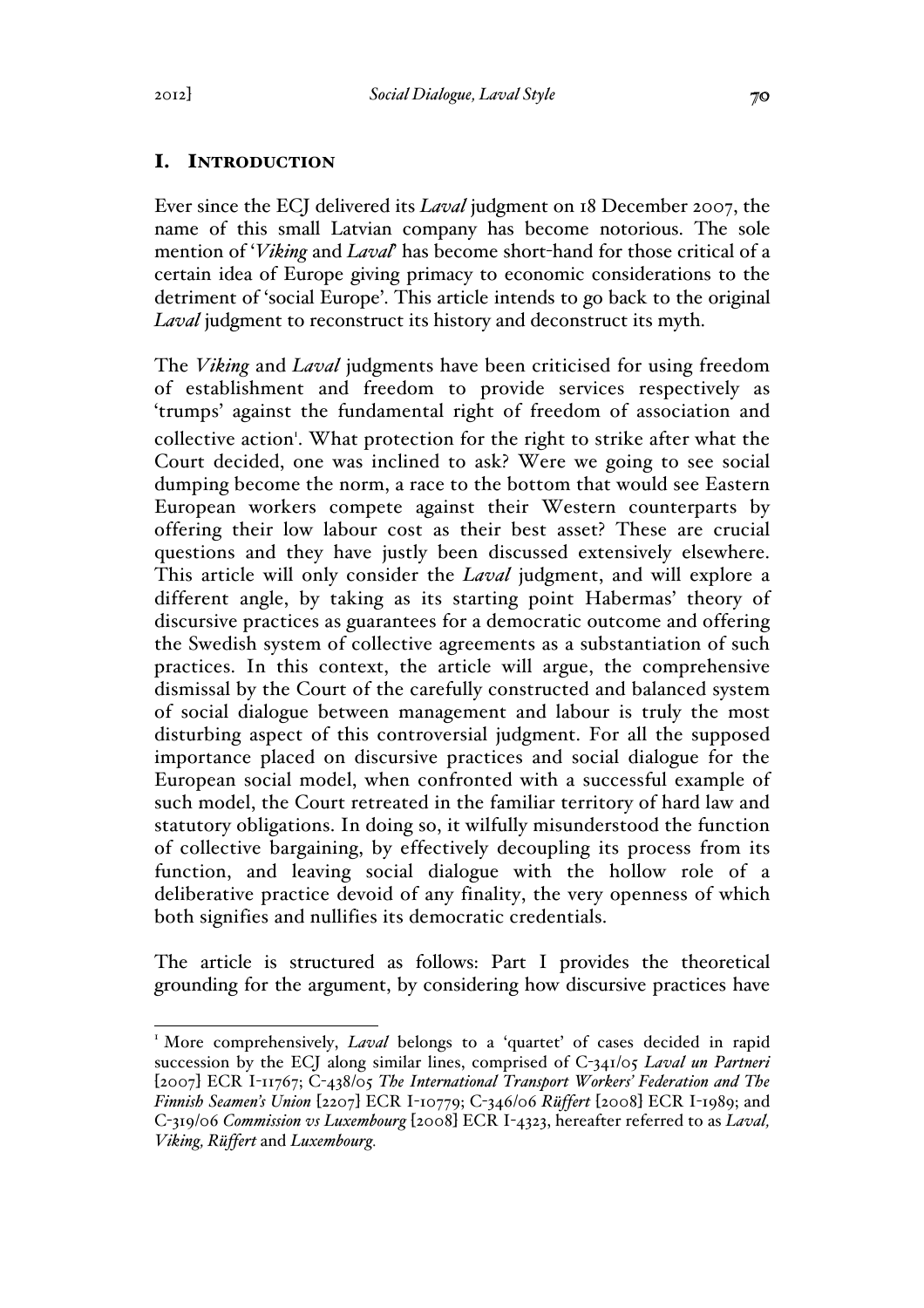# I. INTRODUCTION

Ever since the ECJ delivered its *Laval* judgment on 18 December 2007, the name of this small Latvian company has become notorious. The sole mention of '*Viking* and *Laval*' has become short-hand for those critical of a certain idea of Europe giving primacy to economic considerations to the detriment of 'social Europe'. This article intends to go back to the original *Laval* judgment to reconstruct its history and deconstruct its myth.

The *Viking* and *Laval* judgments have been criticised for using freedom of establishment and freedom to provide services respectively as 'trumps' against the fundamental right of freedom of association and collective action'. What protection for the right to strike after what the Court decided, one was inclined to ask? Were we going to see social dumping become the norm, a race to the bottom that would see Eastern European workers compete against their Western counterparts by offering their low labour cost as their best asset? These are crucial questions and they have justly been discussed extensively elsewhere. This article will only consider the *Laval* judgment, and will explore a different angle, by taking as its starting point Habermas' theory of discursive practices as guarantees for a democratic outcome and offering the Swedish system of collective agreements as a substantiation of such practices. In this context, the article will argue, the comprehensive dismissal by the Court of the carefully constructed and balanced system of social dialogue between management and labour is truly the most disturbing aspect of this controversial judgment. For all the supposed importance placed on discursive practices and social dialogue for the European social model, when confronted with a successful example of such model, the Court retreated in the familiar territory of hard law and statutory obligations. In doing so, it wilfully misunderstood the function of collective bargaining, by effectively decoupling its process from its function, and leaving social dialogue with the hollow role of a deliberative practice devoid of any finality, the very openness of which both signifies and nullifies its democratic credentials.

The article is structured as follows: Part I provides the theoretical grounding for the argument, by considering how discursive practices have

<sup>&</sup>lt;sup>1</sup> More comprehensively, *Laval* belongs to a 'quartet' of cases decided in rapid succession by the ECJ along similar lines, comprised of C-341/05 *Laval un Partneri*  [2007] ECR I-11767; C-438/05 *The International Transport Workers' Federation and The Finnish Seamen's Union* [2207] ECR I-10779; C-346/06 *Rüffert* [2008] ECR I-1989; and C-319/06 *Commission vs Luxembourg* [2008] ECR I-4323, hereafter referred to as *Laval, Viking, Rüffert* and *Luxembourg.*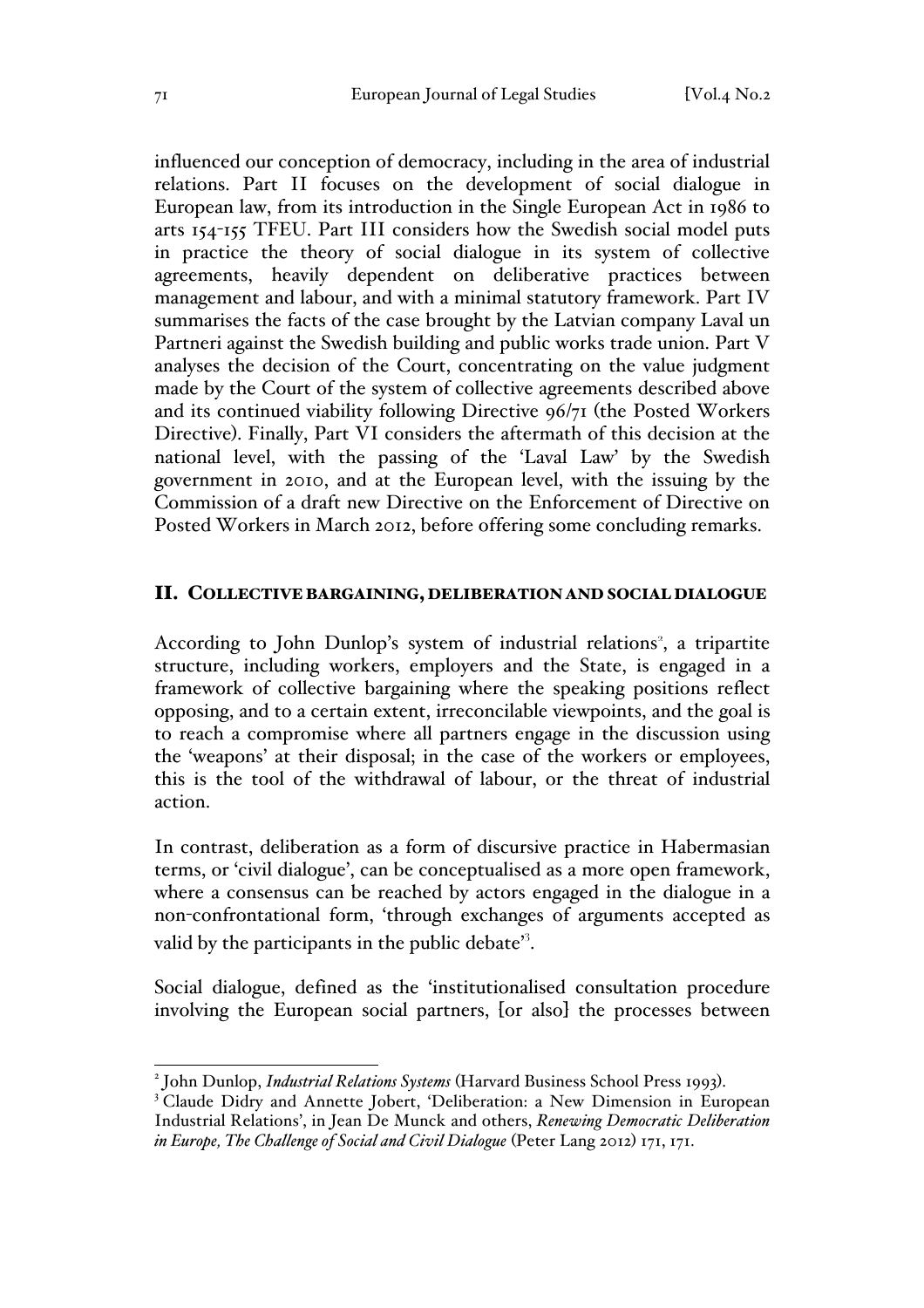influenced our conception of democracy, including in the area of industrial relations. Part II focuses on the development of social dialogue in European law, from its introduction in the Single European Act in 1986 to arts 154-155 TFEU. Part III considers how the Swedish social model puts in practice the theory of social dialogue in its system of collective agreements, heavily dependent on deliberative practices between management and labour, and with a minimal statutory framework. Part IV summarises the facts of the case brought by the Latvian company Laval un Partneri against the Swedish building and public works trade union. Part V analyses the decision of the Court, concentrating on the value judgment made by the Court of the system of collective agreements described above and its continued viability following Directive 96/71 (the Posted Workers Directive). Finally, Part VI considers the aftermath of this decision at the national level, with the passing of the 'Laval Law' by the Swedish government in 2010, and at the European level, with the issuing by the Commission of a draft new Directive on the Enforcement of Directive on Posted Workers in March 2012, before offering some concluding remarks.

#### II. COLLECTIVE BARGAINING,DELIBERATION AND SOCIAL DIALOGUE

According to John Dunlop's system of industrial relations<sup>2</sup>, a tripartite structure, including workers, employers and the State, is engaged in a framework of collective bargaining where the speaking positions reflect opposing, and to a certain extent, irreconcilable viewpoints, and the goal is to reach a compromise where all partners engage in the discussion using the 'weapons' at their disposal; in the case of the workers or employees, this is the tool of the withdrawal of labour, or the threat of industrial action.

In contrast, deliberation as a form of discursive practice in Habermasian terms, or 'civil dialogue', can be conceptualised as a more open framework, where a consensus can be reached by actors engaged in the dialogue in a non-confrontational form, 'through exchanges of arguments accepted as valid by the participants in the public debate'<sup>3</sup>.

Social dialogue, defined as the 'institutionalised consultation procedure involving the European social partners, [or also] the processes between

<sup>&</sup>lt;sup>2</sup> John Dunlop, *Industrial Relations Systems* (Harvard Business School Press 1993).<br><sup>3</sup> Claude Didry and Annette Jobert, 'Deliberation: a New Dimension in European Industrial Relations', in Jean De Munck and others, *Renewing Democratic Deliberation in Europe, The Challenge of Social and Civil Dialogue* (Peter Lang 2012) 171, 171.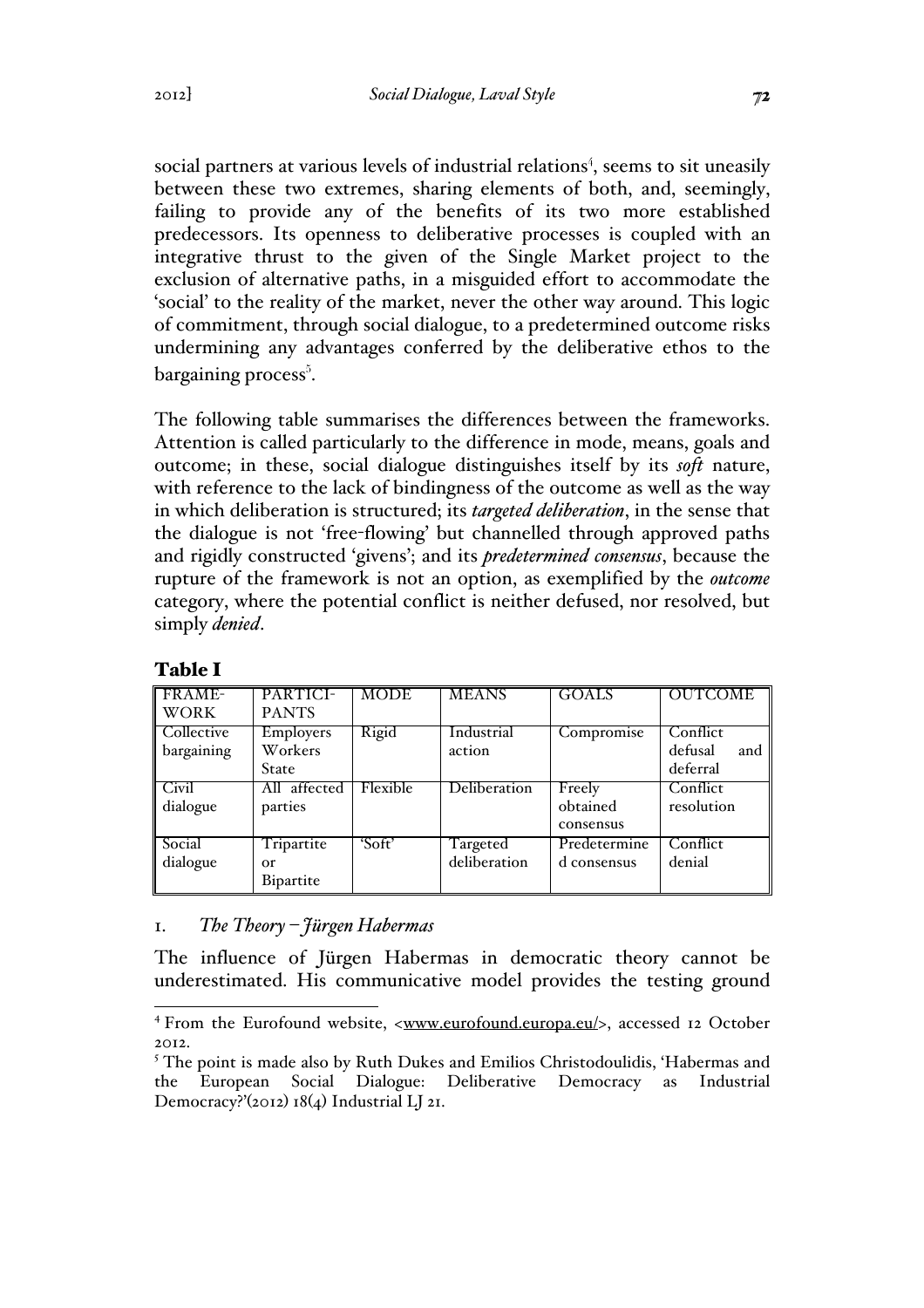social partners at various levels of industrial relations<sup>4</sup>, seems to sit uneasily between these two extremes, sharing elements of both, and, seemingly, failing to provide any of the benefits of its two more established predecessors. Its openness to deliberative processes is coupled with an integrative thrust to the given of the Single Market project to the exclusion of alternative paths, in a misguided effort to accommodate the 'social' to the reality of the market, never the other way around. This logic of commitment, through social dialogue, to a predetermined outcome risks undermining any advantages conferred by the deliberative ethos to the bargaining process $^5$ .

The following table summarises the differences between the frameworks. Attention is called particularly to the difference in mode, means, goals and outcome; in these, social dialogue distinguishes itself by its *soft* nature, with reference to the lack of bindingness of the outcome as well as the way in which deliberation is structured; its *targeted deliberation*, in the sense that the dialogue is not 'free-flowing' but channelled through approved paths and rigidly constructed 'givens'; and its *predetermined consensus*, because the rupture of the framework is not an option, as exemplified by the *outcome*  category, where the potential conflict is neither defused, nor resolved, but simply *denied*.

| <b>FRAME-</b><br><b>WORK</b>          | PARTICI-<br><b>PANTS</b>      | <b>MODE</b> | <b>MEANS</b>             | <b>GOALS</b>                    | <b>OUTCOME</b>                         |
|---------------------------------------|-------------------------------|-------------|--------------------------|---------------------------------|----------------------------------------|
| Collective<br>bargaining              | Employers<br>Workers<br>State | Rigid       | Industrial<br>action     | Compromise                      | Conflict<br>defusal<br>and<br>deferral |
| $\overline{\text{Civil}}$<br>dialogue | All affected<br>parties       | Flexible    | Deliberation             | Freely<br>obtained<br>consensus | Conflict<br>resolution                 |
| Social<br>dialogue                    | Tripartite<br>Оr<br>Bipartite | 'Soft'      | Targeted<br>deliberation | Predetermine<br>d consensus     | Conflict<br>denial                     |

## Table I

### 1. *The Theory – Jürgen Habermas*

The influence of Jürgen Habermas in democratic theory cannot be underestimated. His communicative model provides the testing ground

<sup>&</sup>lt;sup>4</sup> From the Eurofound website, <www.eurofound.europa.eu/>, accessed 12 October 2012.

<sup>&</sup>lt;sup>5</sup> The point is made also by Ruth Dukes and Emilios Christodoulidis, 'Habermas and the European Social Dialogue: Deliberative Democracy as Industrial Democracy?'(2012) 18(4) Industrial LJ 21.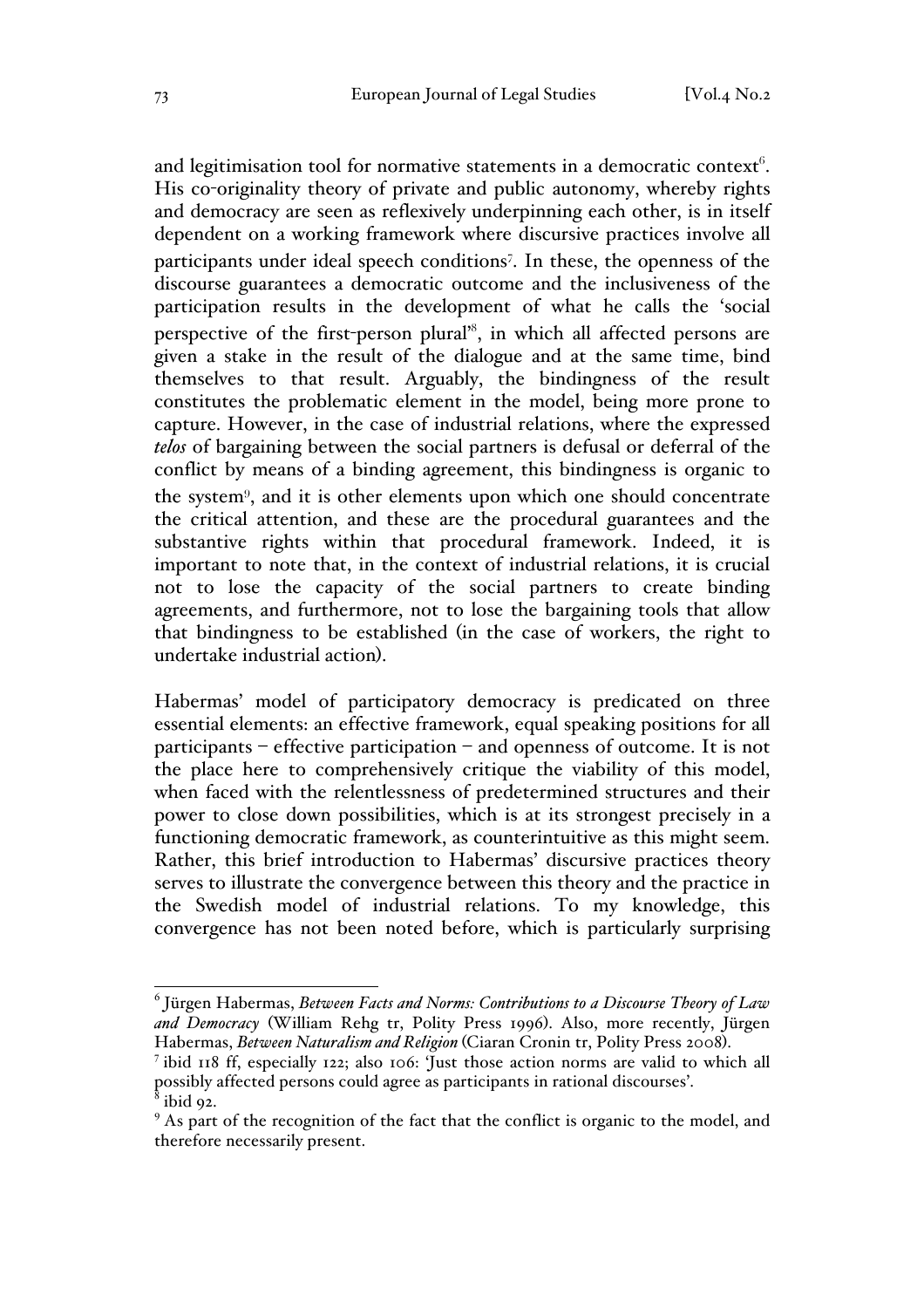and legitimisation tool for normative statements in a democratic context $^6$ . His co-originality theory of private and public autonomy, whereby rights and democracy are seen as reflexively underpinning each other, is in itself dependent on a working framework where discursive practices involve all participants under ideal speech conditions<sup>7</sup>. In these, the openness of the discourse guarantees a democratic outcome and the inclusiveness of the participation results in the development of what he calls the 'social perspective of the first-person plural<sup>28</sup>, in which all affected persons are given a stake in the result of the dialogue and at the same time, bind themselves to that result. Arguably, the bindingness of the result constitutes the problematic element in the model, being more prone to capture. However, in the case of industrial relations, where the expressed *telos* of bargaining between the social partners is defusal or deferral of the conflict by means of a binding agreement, this bindingness is organic to the system<sup>9</sup>, and it is other elements upon which one should concentrate the critical attention, and these are the procedural guarantees and the substantive rights within that procedural framework. Indeed, it is important to note that, in the context of industrial relations, it is crucial not to lose the capacity of the social partners to create binding agreements, and furthermore, not to lose the bargaining tools that allow that bindingness to be established (in the case of workers, the right to undertake industrial action).

Habermas' model of participatory democracy is predicated on three essential elements: an effective framework, equal speaking positions for all participants – effective participation – and openness of outcome. It is not the place here to comprehensively critique the viability of this model, when faced with the relentlessness of predetermined structures and their power to close down possibilities, which is at its strongest precisely in a functioning democratic framework, as counterintuitive as this might seem. Rather, this brief introduction to Habermas' discursive practices theory serves to illustrate the convergence between this theory and the practice in the Swedish model of industrial relations. To my knowledge, this convergence has not been noted before, which is particularly surprising

 <sup>6</sup> Jürgen Habermas, *Between Facts and Norms: Contributions to a Discourse Theory of Law and Democracy* (William Rehg tr, Polity Press 1996). Also, more recently, Jürgen Habermas, *Between Naturalism and Religion* (Ciaran Cronin tr, Polity Press 2008). 7 ibid 118 ff, especially 122; also 106: 'Just those action norms are valid to which all

possibly affected persons could agree as participants in rational discourses'.

ibid 92.

<sup>&</sup>lt;sup>9</sup> As part of the recognition of the fact that the conflict is organic to the model, and therefore necessarily present.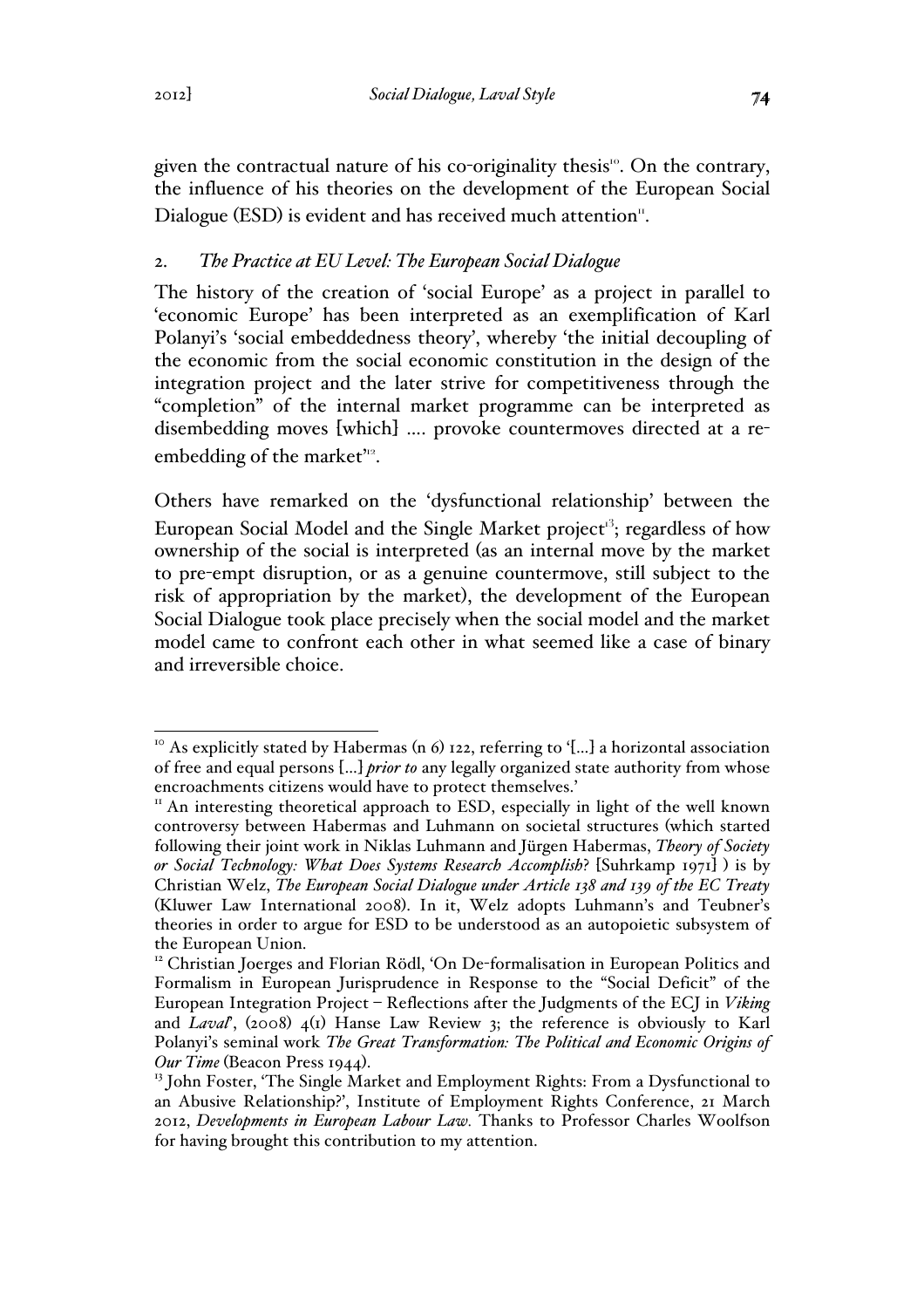given the contractual nature of his co-originality thesis<sup>10</sup>. On the contrary, the influence of his theories on the development of the European Social Dialogue (ESD) is evident and has received much attention".

## 2. *The Practice at EU Level: The European Social Dialogue*

The history of the creation of 'social Europe' as a project in parallel to 'economic Europe' has been interpreted as an exemplification of Karl Polanyi's 'social embeddedness theory', whereby 'the initial decoupling of the economic from the social economic constitution in the design of the integration project and the later strive for competitiveness through the "completion" of the internal market programme can be interpreted as disembedding moves [which] …. provoke countermoves directed at a reembedding of the market<sup>112</sup>.

Others have remarked on the 'dysfunctional relationship' between the European Social Model and the Single Market project<sup>13</sup>; regardless of how ownership of the social is interpreted (as an internal move by the market to pre-empt disruption, or as a genuine countermove, still subject to the risk of appropriation by the market), the development of the European Social Dialogue took place precisely when the social model and the market model came to confront each other in what seemed like a case of binary and irreversible choice.

<sup>&</sup>lt;sup>10</sup> As explicitly stated by Habermas (n 6) 122, referring to '[...] a horizontal association of free and equal persons […] *prior to* any legally organized state authority from whose encroachments citizens would have to protect themselves.'

<sup>&</sup>lt;sup>11</sup> An interesting theoretical approach to ESD, especially in light of the well known controversy between Habermas and Luhmann on societal structures (which started following their joint work in Niklas Luhmann and Jürgen Habermas, *Theory of Society or Social Technology: What Does Systems Research Accomplish*? [Suhrkamp 1971] ) is by Christian Welz, *The European Social Dialogue under Article 138 and 139 of the EC Treaty* (Kluwer Law International 2008). In it, Welz adopts Luhmann's and Teubner's theories in order to argue for ESD to be understood as an autopoietic subsystem of the European Union.

<sup>&</sup>lt;sup>12</sup> Christian Joerges and Florian Rödl, 'On De-formalisation in European Politics and Formalism in European Jurisprudence in Response to the "Social Deficit" of the European Integration Project – Reflections after the Judgments of the ECJ in *Viking* and *Laval*', (2008) 4(1) Hanse Law Review 3; the reference is obviously to Karl Polanyi's seminal work *The Great Transformation: The Political and Economic Origins of Our Time* (Beacon Press 1944).<br><sup>13</sup> John Foster, 'The Single Market and Employment Rights: From a Dysfunctional to

an Abusive Relationship?', Institute of Employment Rights Conference, 21 March 2012, *Developments in European Labour Law.* Thanks to Professor Charles Woolfson for having brought this contribution to my attention.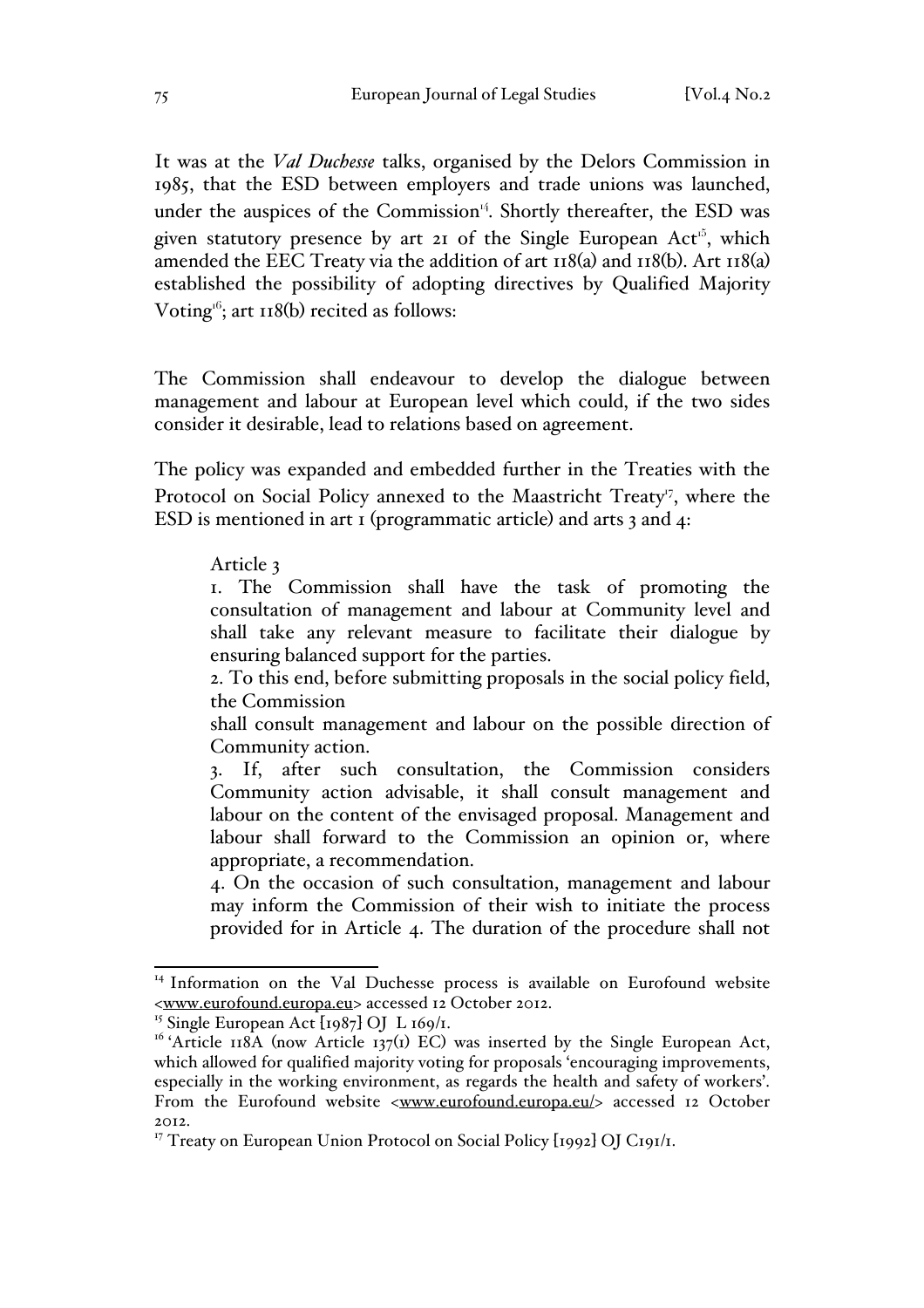It was at the *Val Duchesse* talks, organised by the Delors Commission in 1985, that the ESD between employers and trade unions was launched, under the auspices of the Commission $<sup>14</sup>$ . Shortly thereafter, the ESD was</sup> given statutory presence by art  $2I$  of the Single European Act<sup> $5$ </sup>, which amended the EEC Treaty via the addition of art 118(a) and 118(b). Art 118(a) established the possibility of adopting directives by Qualified Majority Voting<sup> $66$ </sup>; art 118(b) recited as follows:

The Commission shall endeavour to develop the dialogue between management and labour at European level which could, if the two sides consider it desirable, lead to relations based on agreement.

The policy was expanded and embedded further in the Treaties with the Protocol on Social Policy annexed to the Maastricht Treaty<sup>17</sup>, where the ESD is mentioned in art 1 (programmatic article) and arts 3 and 4:

#### Article 3

1. The Commission shall have the task of promoting the consultation of management and labour at Community level and shall take any relevant measure to facilitate their dialogue by ensuring balanced support for the parties.

2. To this end, before submitting proposals in the social policy field, the Commission

shall consult management and labour on the possible direction of Community action.

3. If, after such consultation, the Commission considers Community action advisable, it shall consult management and labour on the content of the envisaged proposal. Management and labour shall forward to the Commission an opinion or, where appropriate, a recommendation.

4. On the occasion of such consultation, management and labour may inform the Commission of their wish to initiate the process provided for in Article 4. The duration of the procedure shall not

<sup>&</sup>lt;sup>14</sup> Information on the Val Duchesse process is available on Eurofound website <www.eurofound.europa.eu> accessed 12 October 2012.

<sup>&</sup>lt;sup>15</sup> Single European Act  $[1987]$  OJ L  $169/1$ .

 $16$  'Article 118A (now Article 137(1) EC) was inserted by the Single European Act, which allowed for qualified majority voting for proposals 'encouraging improvements, especially in the working environment, as regards the health and safety of workers'. From the Eurofound website <www.eurofound.europa.eu/> accessed 12 October 2012.

<sup>&</sup>lt;sup>17</sup> Treaty on European Union Protocol on Social Policy [1992] OJ C191/1.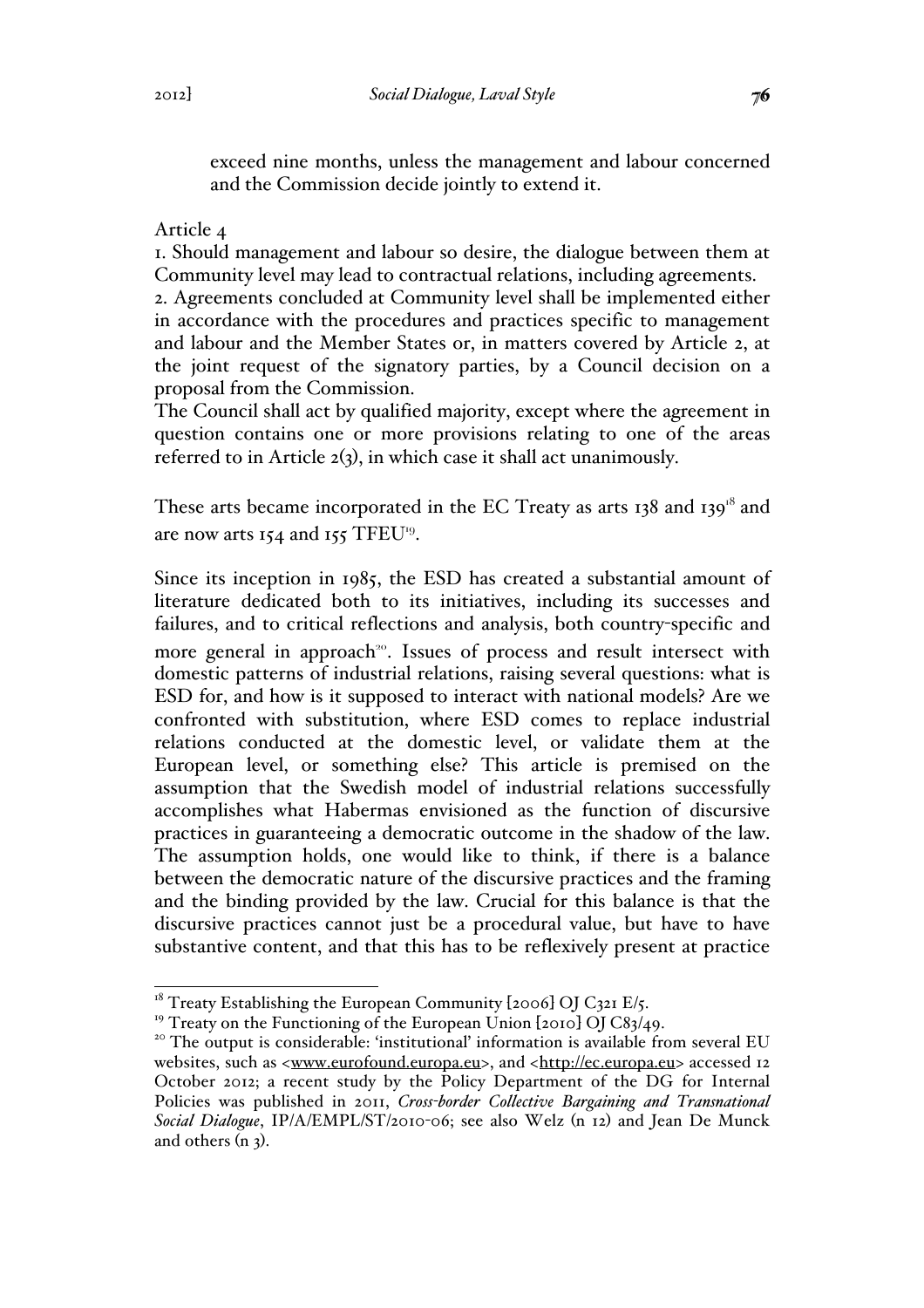exceed nine months, unless the management and labour concerned and the Commission decide jointly to extend it.

Article 4

1. Should management and labour so desire, the dialogue between them at Community level may lead to contractual relations, including agreements.

2. Agreements concluded at Community level shall be implemented either in accordance with the procedures and practices specific to management and labour and the Member States or, in matters covered by Article 2, at the joint request of the signatory parties, by a Council decision on a proposal from the Commission.

The Council shall act by qualified majority, except where the agreement in question contains one or more provisions relating to one of the areas referred to in Article 2(3), in which case it shall act unanimously.

These arts became incorporated in the EC Treaty as arts 138 and 139<sup>18</sup> and are now arts 154 and 155 TFEU<sup>19</sup>.

Since its inception in 1985, the ESD has created a substantial amount of literature dedicated both to its initiatives, including its successes and failures, and to critical reflections and analysis, both country-specific and more general in approach<sup>20</sup>. Issues of process and result intersect with domestic patterns of industrial relations, raising several questions: what is ESD for, and how is it supposed to interact with national models? Are we confronted with substitution, where ESD comes to replace industrial relations conducted at the domestic level, or validate them at the European level, or something else? This article is premised on the assumption that the Swedish model of industrial relations successfully accomplishes what Habermas envisioned as the function of discursive practices in guaranteeing a democratic outcome in the shadow of the law. The assumption holds, one would like to think, if there is a balance between the democratic nature of the discursive practices and the framing and the binding provided by the law. Crucial for this balance is that the discursive practices cannot just be a procedural value, but have to have substantive content, and that this has to be reflexively present at practice

<sup>&</sup>lt;sup>18</sup> Treaty Establishing the European Community [2006] OJ C321 E/5.<br><sup>19</sup> Treaty on the Functioning of the European Union [2010] OJ C83/49.

 $10<sup>20</sup>$  The output is considerable: 'institutional' information is available from several EU websites, such as <www.eurofound.europa.eu>, and <http://ec.europa.eu> accessed 12 October 2012; a recent study by the Policy Department of the DG for Internal Policies was published in 2011, *Cross-border Collective Bargaining and Transnational Social Dialogue*, IP/A/EMPL/ST/2010-06; see also Welz (n 12) and Jean De Munck and others  $(n, 3)$ .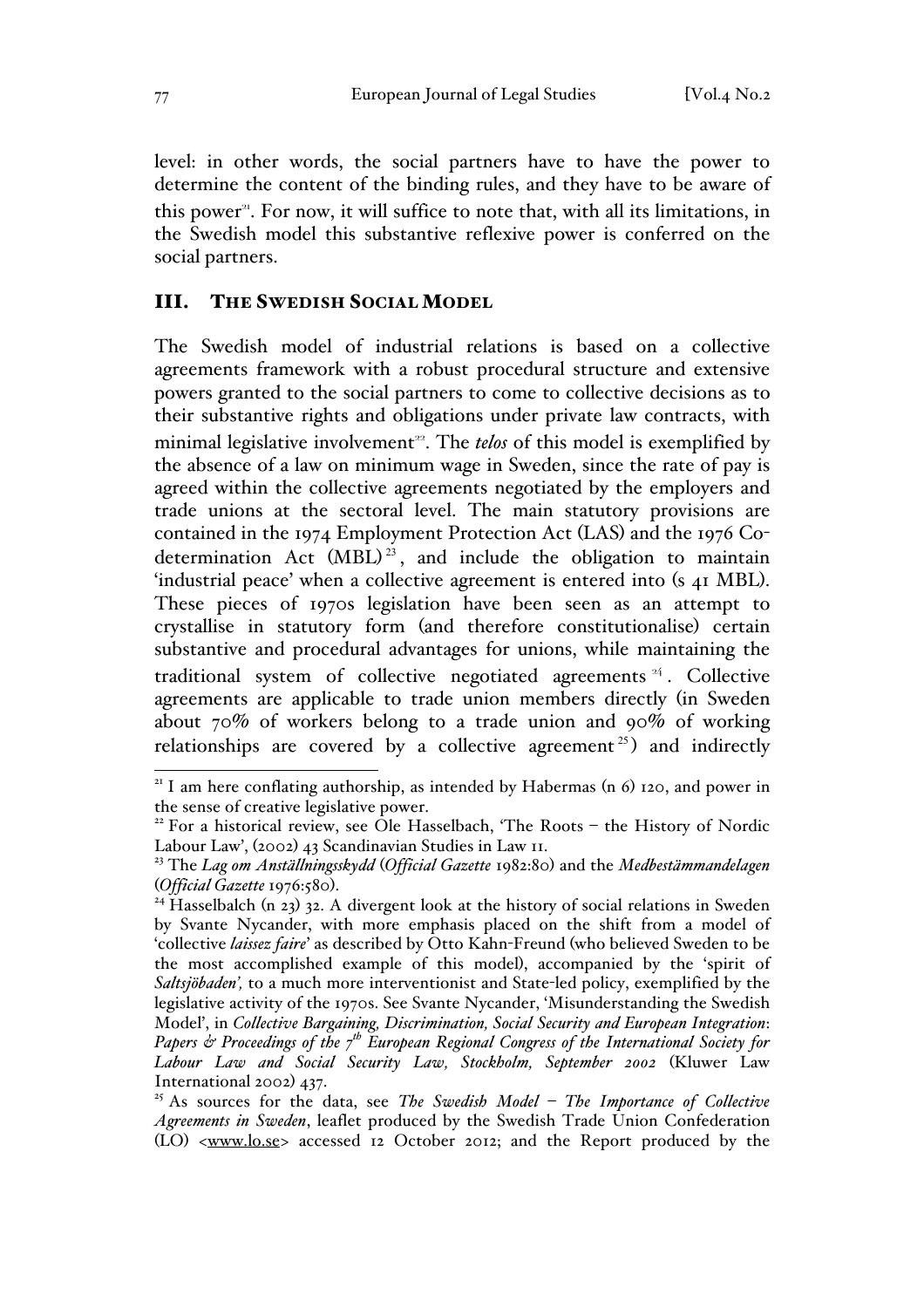level: in other words, the social partners have to have the power to determine the content of the binding rules, and they have to be aware of this power<sup>21</sup>. For now, it will suffice to note that, with all its limitations, in the Swedish model this substantive reflexive power is conferred on the social partners.

### III. THE SWEDISH SOCIAL MODEL

The Swedish model of industrial relations is based on a collective agreements framework with a robust procedural structure and extensive powers granted to the social partners to come to collective decisions as to their substantive rights and obligations under private law contracts, with minimal legislative involvement<sup>22</sup>. The *telos* of this model is exemplified by the absence of a law on minimum wage in Sweden, since the rate of pay is agreed within the collective agreements negotiated by the employers and trade unions at the sectoral level. The main statutory provisions are contained in the 1974 Employment Protection Act (LAS) and the 1976 Codetermination Act  $(MBL)^{23}$ , and include the obligation to maintain 'industrial peace' when a collective agreement is entered into (s 41 MBL). These pieces of 1970s legislation have been seen as an attempt to crystallise in statutory form (and therefore constitutionalise) certain substantive and procedural advantages for unions, while maintaining the traditional system of collective negotiated agreements  $44$ . Collective agreements are applicable to trade union members directly (in Sweden about 70% of workers belong to a trade union and 90% of working relationships are covered by a collective agreement  $25$ ) and indirectly

 $21$  I am here conflating authorship, as intended by Habermas (n 6) 120, and power in the sense of creative legislative power.

<sup>&</sup>lt;sup>22</sup> For a historical review, see Ole Hasselbach, 'The Roots – the History of Nordic Labour Law', (2002) 43 Scandinavian Studies in Law 11.

<sup>23</sup> The *Lag om Anställningsskydd* (*Official Gazette* 1982:80) and the *Medbestämmandelagen* (*Official Gazette* 1976:580). <sup>24</sup> Hasselbalch (n 23) 32. A divergent look at the history of social relations in Sweden

by Svante Nycander, with more emphasis placed on the shift from a model of 'collective *laissez faire*' as described by Otto Kahn-Freund (who believed Sweden to be the most accomplished example of this model), accompanied by the 'spirit of *Saltsjöbaden',* to a much more interventionist and State-led policy, exemplified by the legislative activity of the 1970s. See Svante Nycander, 'Misunderstanding the Swedish Model', in *Collective Bargaining, Discrimination, Social Security and European Integration*: *Papers & Proceedings of the 7th European Regional Congress of the International Society for Labour Law and Social Security Law, Stockholm, September 2002* (Kluwer Law International 2002) 437.

<sup>25</sup> As sources for the data, see *The Swedish Model – The Importance of Collective Agreements in Sweden*, leaflet produced by the Swedish Trade Union Confederation (LO) <www.lo.se> accessed 12 October 2012; and the Report produced by the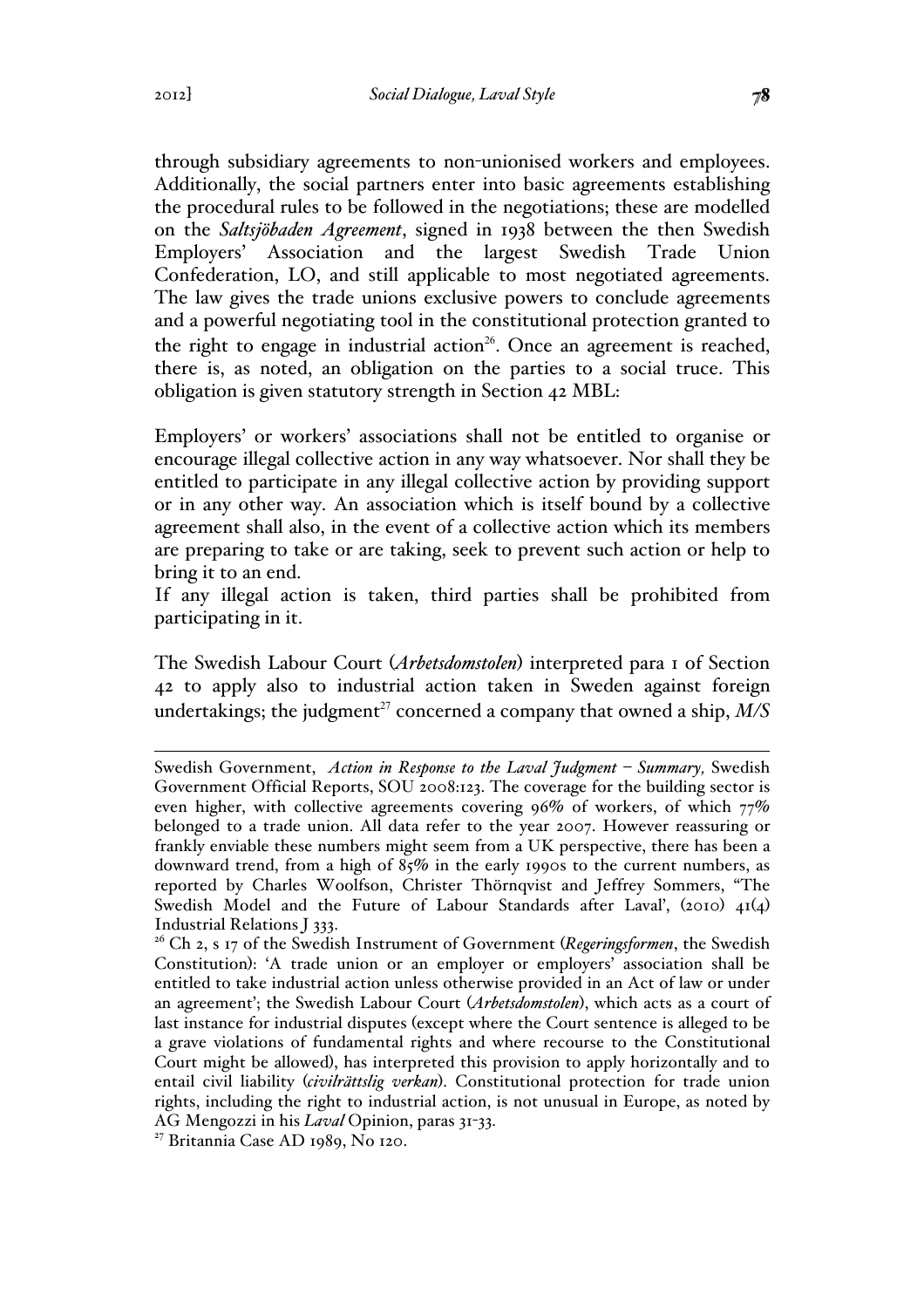through subsidiary agreements to non-unionised workers and employees. Additionally, the social partners enter into basic agreements establishing the procedural rules to be followed in the negotiations; these are modelled on the *Saltsjöbaden Agreement*, signed in 1938 between the then Swedish Employers' Association and the largest Swedish Trade Union Confederation, LO, and still applicable to most negotiated agreements. The law gives the trade unions exclusive powers to conclude agreements and a powerful negotiating tool in the constitutional protection granted to the right to engage in industrial action<sup>26</sup>. Once an agreement is reached, there is, as noted, an obligation on the parties to a social truce. This obligation is given statutory strength in Section 42 MBL:

Employers' or workers' associations shall not be entitled to organise or encourage illegal collective action in any way whatsoever. Nor shall they be entitled to participate in any illegal collective action by providing support or in any other way. An association which is itself bound by a collective agreement shall also, in the event of a collective action which its members are preparing to take or are taking, seek to prevent such action or help to bring it to an end.

If any illegal action is taken, third parties shall be prohibited from participating in it.

The Swedish Labour Court (*Arbetsdomstolen*) interpreted para 1 of Section 42 to apply also to industrial action taken in Sweden against foreign undertakings; the judgment<sup>27</sup> concerned a company that owned a ship,  $M/S$ 

Swedish Government, *Action in Response to the Laval Judgment – Summary,* Swedish Government Official Reports, SOU 2008:123. The coverage for the building sector is even higher, with collective agreements covering 96% of workers, of which 77% belonged to a trade union. All data refer to the year 2007. However reassuring or frankly enviable these numbers might seem from a UK perspective, there has been a downward trend, from a high of 85% in the early 1990s to the current numbers, as reported by Charles Woolfson, Christer Thörnqvist and Jeffrey Sommers, "The Swedish Model and the Future of Labour Standards after Laval', (2010) 41(4) Industrial Relations J 333.

<sup>&</sup>lt;sup>26</sup> Ch 2, s 17 of the Swedish Instrument of Government (*Regeringsformen*, the Swedish Constitution): 'A trade union or an employer or employers' association shall be entitled to take industrial action unless otherwise provided in an Act of law or under an agreement'; the Swedish Labour Court (*Arbetsdomstolen*), which acts as a court of last instance for industrial disputes (except where the Court sentence is alleged to be a grave violations of fundamental rights and where recourse to the Constitutional Court might be allowed), has interpreted this provision to apply horizontally and to entail civil liability (*civilrättslig verkan*). Constitutional protection for trade union rights, including the right to industrial action, is not unusual in Europe, as noted by AG Mengozzi in his *Laval* Opinion, paras 31-33.

<sup>27</sup> Britannia Case AD 1989, No 120.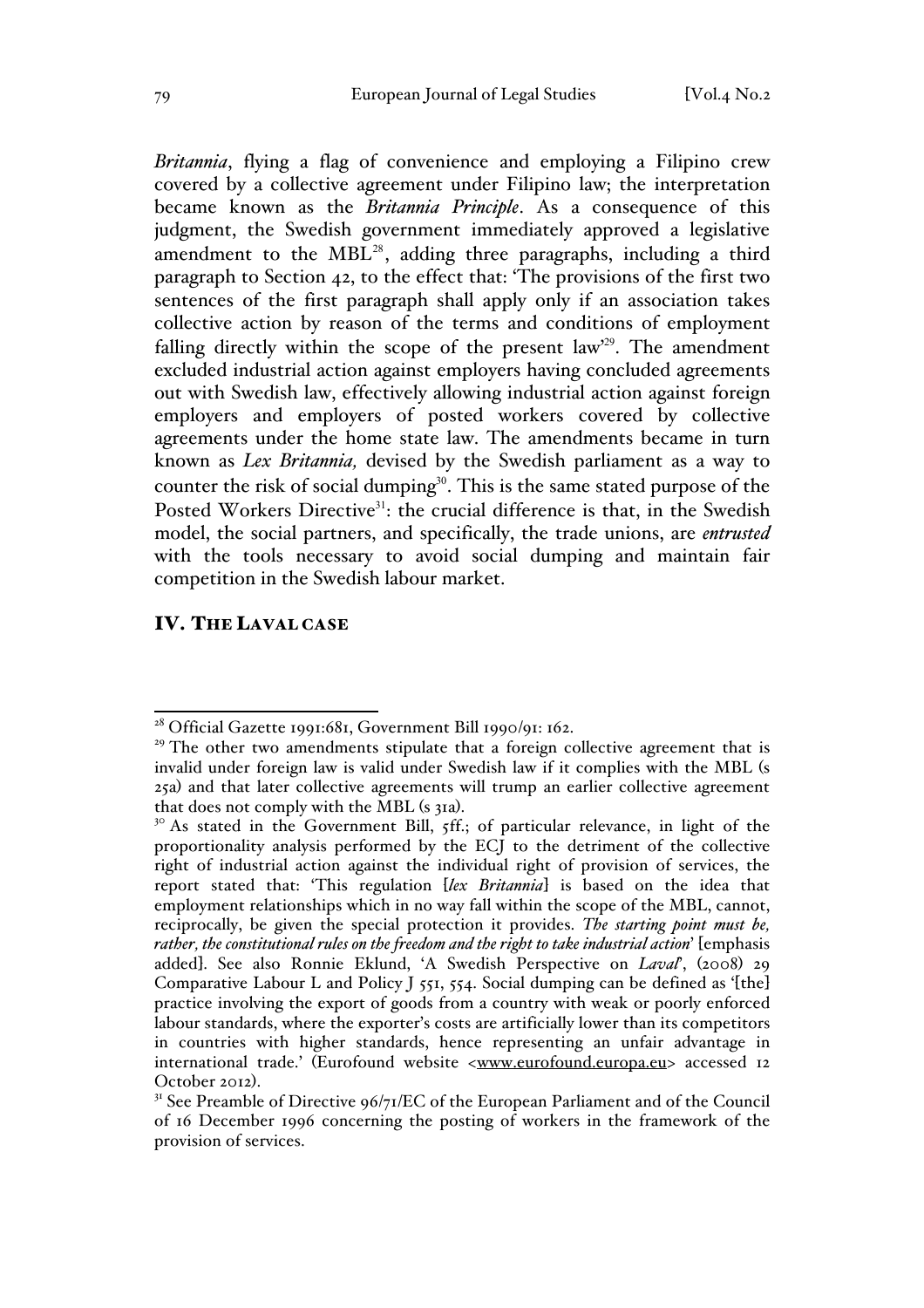*Britannia*, flying a flag of convenience and employing a Filipino crew covered by a collective agreement under Filipino law; the interpretation became known as the *Britannia Principle*. As a consequence of this judgment, the Swedish government immediately approved a legislative amendment to the  $MBL^{28}$ , adding three paragraphs, including a third paragraph to Section 42, to the effect that: 'The provisions of the first two sentences of the first paragraph shall apply only if an association takes collective action by reason of the terms and conditions of employment falling directly within the scope of the present law'<sup>29</sup>. The amendment excluded industrial action against employers having concluded agreements out with Swedish law, effectively allowing industrial action against foreign employers and employers of posted workers covered by collective agreements under the home state law. The amendments became in turn known as *Lex Britannia,* devised by the Swedish parliament as a way to counter the risk of social dumping<sup>30</sup>. This is the same stated purpose of the Posted Workers Directive<sup>31</sup>: the crucial difference is that, in the Swedish model, the social partners, and specifically, the trade unions, are *entrusted*  with the tools necessary to avoid social dumping and maintain fair competition in the Swedish labour market.

### IV. THE LAVAL CASE

<sup>&</sup>lt;sup>28</sup> Official Gazette 1991:681, Government Bill 1990/91: 162.

<sup>&</sup>lt;sup>29</sup> The other two amendments stipulate that a foreign collective agreement that is invalid under foreign law is valid under Swedish law if it complies with the MBL (s 25a) and that later collective agreements will trump an earlier collective agreement

 $10^{\circ}$  As stated in the Government Bill,  $5$ ff.; of particular relevance, in light of the proportionality analysis performed by the ECJ to the detriment of the collective right of industrial action against the individual right of provision of services, the report stated that: 'This regulation [*lex Britannia*] is based on the idea that employment relationships which in no way fall within the scope of the MBL, cannot, reciprocally, be given the special protection it provides. *The starting point must be, rather, the constitutional rules on the freedom and the right to take industrial action*' [emphasis added]. See also Ronnie Eklund, 'A Swedish Perspective on *Laval*', (2008) 29 Comparative Labour L and Policy J 551, 554. Social dumping can be defined as '[the] practice involving the export of goods from a country with weak or poorly enforced labour standards, where the exporter's costs are artificially lower than its competitors in countries with higher standards, hence representing an unfair advantage in international trade.' (Eurofound website <www.eurofound.europa.eu> accessed 12 October 2012).<br><sup>31</sup> See Preamble of Directive  $96/71/EC$  of the European Parliament and of the Council

of 16 December 1996 concerning the posting of workers in the framework of the provision of services.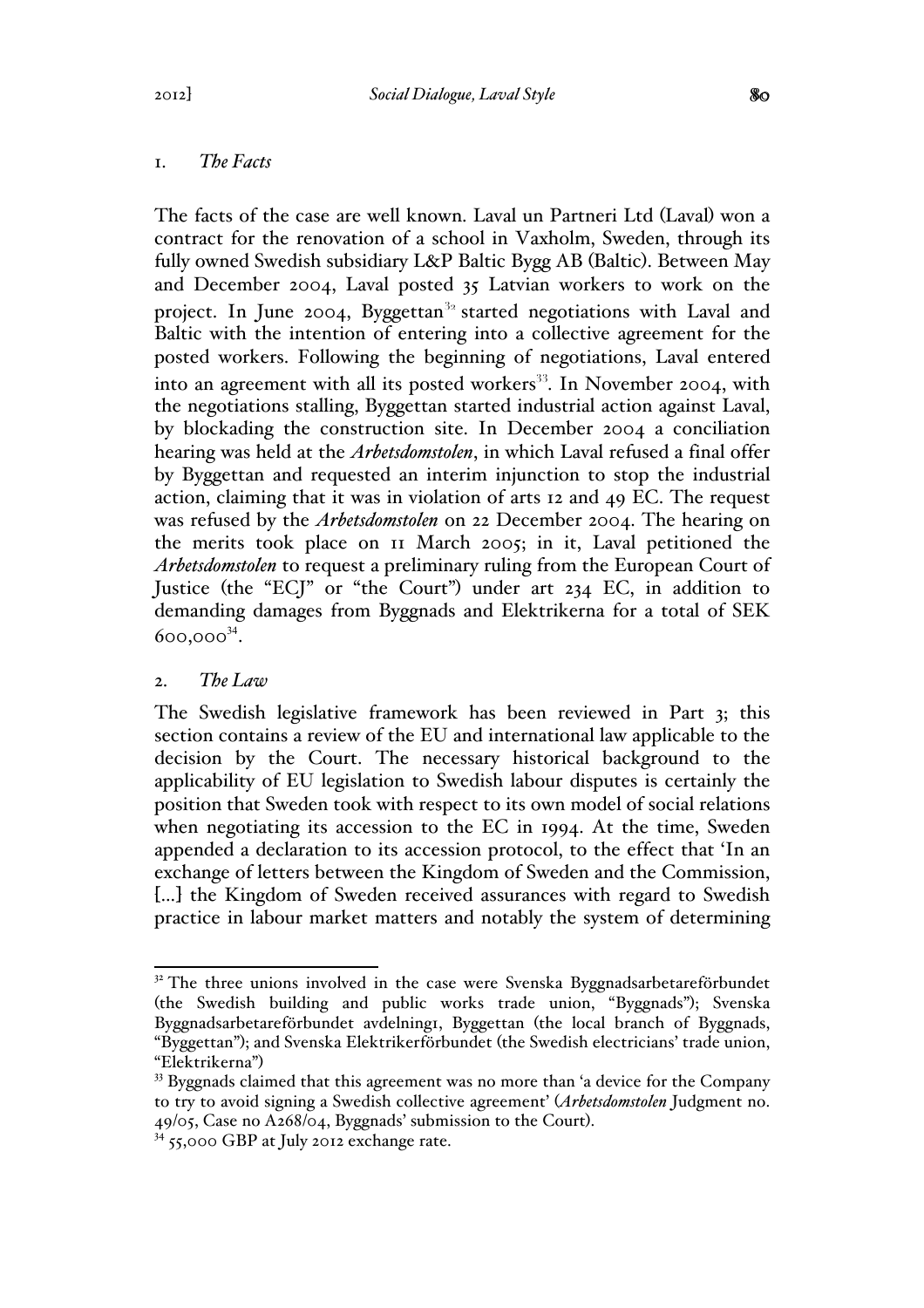## 1. *The Facts*

The facts of the case are well known. Laval un Partneri Ltd (Laval) won a contract for the renovation of a school in Vaxholm, Sweden, through its fully owned Swedish subsidiary L&P Baltic Bygg AB (Baltic). Between May and December 2004, Laval posted 35 Latvian workers to work on the project. In June 2004, Byggettan<sup>32</sup> started negotiations with Laval and Baltic with the intention of entering into a collective agreement for the posted workers. Following the beginning of negotiations, Laval entered into an agreement with all its posted workers<sup>33</sup>. In November 2004, with the negotiations stalling, Byggettan started industrial action against Laval, by blockading the construction site. In December 2004 a conciliation hearing was held at the *Arbetsdomstolen*, in which Laval refused a final offer by Byggettan and requested an interim injunction to stop the industrial action, claiming that it was in violation of arts 12 and 49 EC. The request was refused by the *Arbetsdomstolen* on 22 December 2004. The hearing on the merits took place on 11 March 2005; in it, Laval petitioned the *Arbetsdomstolen* to request a preliminary ruling from the European Court of Justice (the "ECJ" or "the Court") under art 234 EC, in addition to demanding damages from Byggnads and Elektrikerna for a total of SEK 600,000<sup>34</sup>.

## 2. *The Law*

The Swedish legislative framework has been reviewed in Part 3; this section contains a review of the EU and international law applicable to the decision by the Court. The necessary historical background to the applicability of EU legislation to Swedish labour disputes is certainly the position that Sweden took with respect to its own model of social relations when negotiating its accession to the EC in 1994. At the time, Sweden appended a declaration to its accession protocol, to the effect that 'In an exchange of letters between the Kingdom of Sweden and the Commission, [...] the Kingdom of Sweden received assurances with regard to Swedish practice in labour market matters and notably the system of determining

 $32$ <sup>32</sup> The three unions involved in the case were Svenska Byggnadsarbetareförbundet (the Swedish building and public works trade union, "Byggnads"); Svenska Byggnadsarbetareförbundet avdelning1, Byggettan (the local branch of Byggnads, "Byggettan"); and Svenska Elektrikerförbundet (the Swedish electricians' trade union, "Elektrikerna")

 $33$  Byggnads claimed that this agreement was no more than 'a device for the Company to try to avoid signing a Swedish collective agreement' (*Arbetsdomstolen* Judgment no. 49/05, Case no A268/04, Byggnads' submission to the Court). <sup>34</sup> 55,000 GBP at July 2012 exchange rate.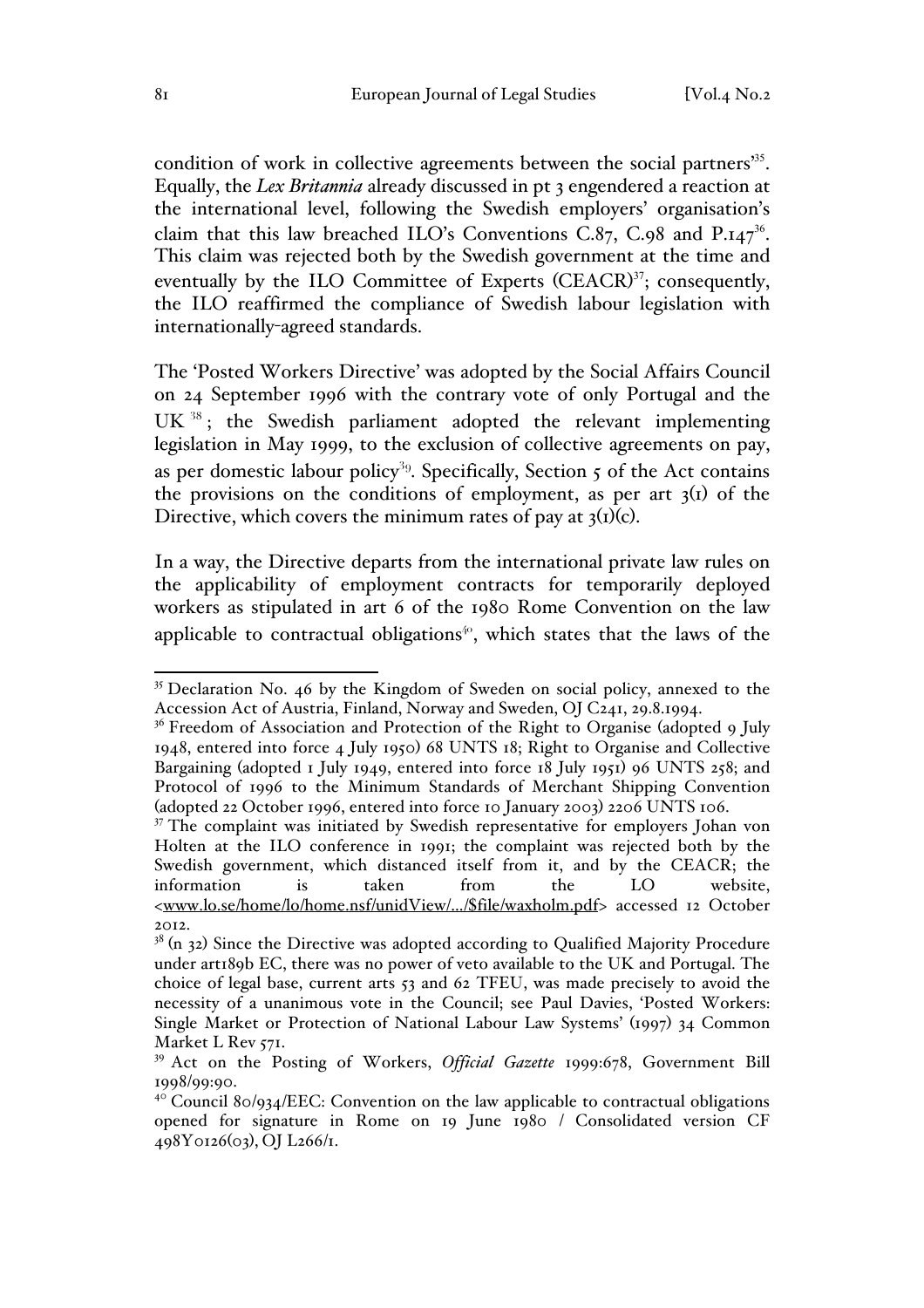condition of work in collective agreements between the social partners<sup>35</sup>. Equally, the *Lex Britannia* already discussed in pt 3 engendered a reaction at the international level, following the Swedish employers' organisation's claim that this law breached ILO's Conventions C.87, C.98 and  $P_{.147}^{36}$ . This claim was rejected both by the Swedish government at the time and eventually by the ILO Committee of Experts (CEACR)<sup>37</sup>; consequently, the ILO reaffirmed the compliance of Swedish labour legislation with internationally-agreed standards.

The 'Posted Workers Directive' was adopted by the Social Affairs Council on 24 September 1996 with the contrary vote of only Portugal and the  $UK^{38}$ ; the Swedish parliament adopted the relevant implementing legislation in May 1999, to the exclusion of collective agreements on pay, as per domestic labour policy<sup>39</sup>. Specifically, Section  $\zeta$  of the Act contains the provisions on the conditions of employment, as per art  $3<sup>(1)</sup>$  of the Directive, which covers the minimum rates of pay at  $3<sub>1</sub>(1)(c)$ .

In a way, the Directive departs from the international private law rules on the applicability of employment contracts for temporarily deployed workers as stipulated in art 6 of the 1980 Rome Convention on the law applicable to contractual obligations<sup>40</sup>, which states that the laws of the

<sup>&</sup>lt;sup>35</sup> Declaration No. 46 by the Kingdom of Sweden on social policy, annexed to the Accession Act of Austria, Finland, Norway and Sweden, OJ C241, 29.8.1994.

 $36$  Freedom of Association and Protection of the Right to Organise (adopted 9 July 1948, entered into force 4 July 1950) 68 UNTS 18; Right to Organise and Collective Bargaining (adopted 1 July 1949, entered into force 18 July 1951) 96 UNTS 258; and Protocol of 1996 to the Minimum Standards of Merchant Shipping Convention (adopted 22 October 1996, entered into force 10 January 2003) 2206 UNTS 106.

<sup>&</sup>lt;sup>37</sup> The complaint was initiated by Swedish representative for employers Johan von Holten at the ILO conference in 1991; the complaint was rejected both by the Swedish government, which distanced itself from it, and by the CEACR; the information is taken from the LO website, <www.lo.se/home/lo/home.nsf/unidView/.../\$file/waxholm.pdf> accessed 12 October 2012.

 $38$  (n 32) Since the Directive was adopted according to Qualified Majority Procedure under art189b EC, there was no power of veto available to the UK and Portugal. The choice of legal base, current arts 53 and 62 TFEU, was made precisely to avoid the necessity of a unanimous vote in the Council; see Paul Davies, 'Posted Workers: Single Market or Protection of National Labour Law Systems' (1997) 34 Common Market L Rev 571.

<sup>39</sup> Act on the Posting of Workers, *Official Gazette* 1999:678, Government Bill 1998/99:90.

 $40^{\circ}$  Council 80/934/EEC: Convention on the law applicable to contractual obligations opened for signature in Rome on 19 June 1980 / Consolidated version CF 498Y0126(03), OJ L266/1.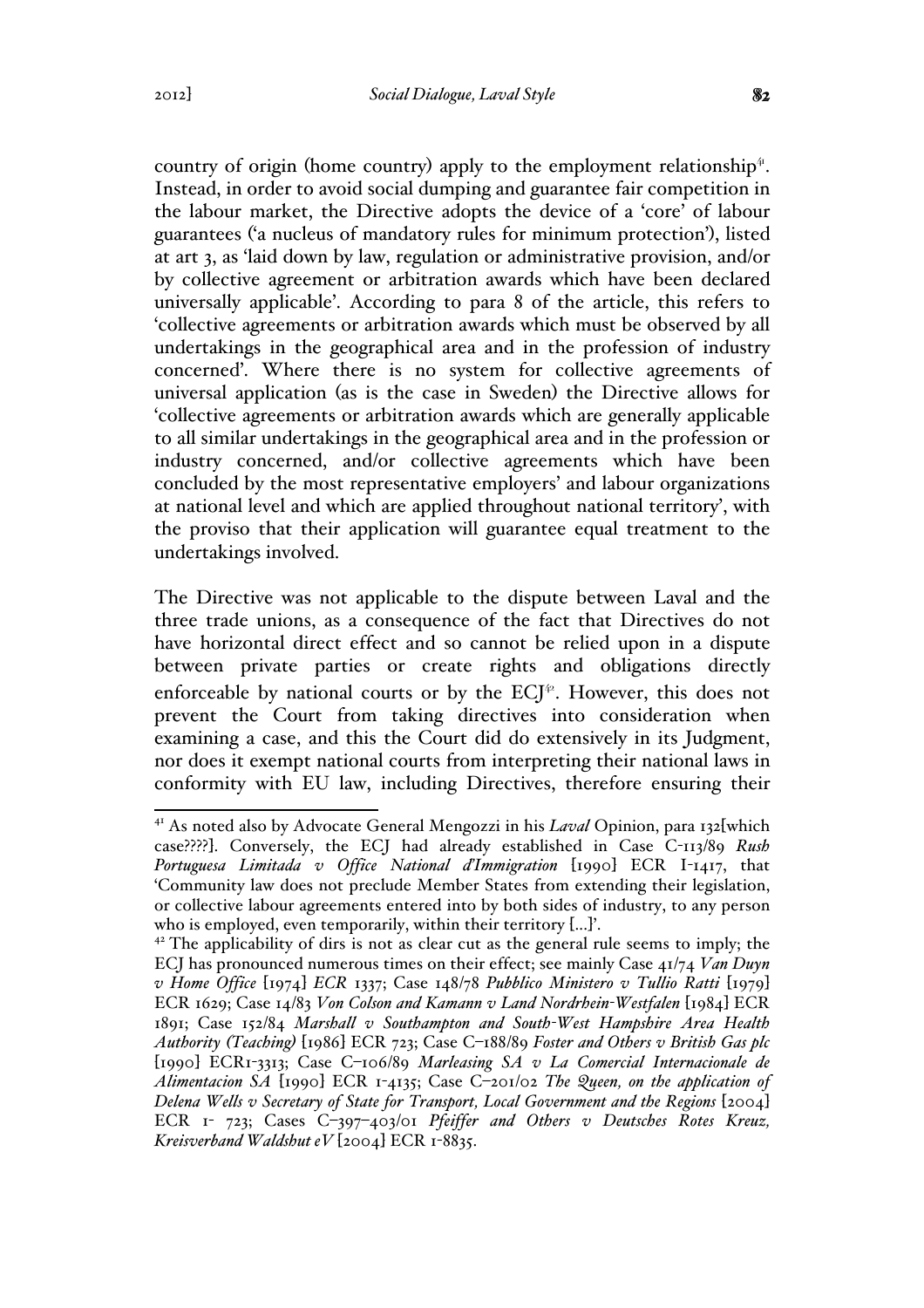country of origin (home country) apply to the employment relationship $4$ . Instead, in order to avoid social dumping and guarantee fair competition in the labour market, the Directive adopts the device of a 'core' of labour guarantees ('a nucleus of mandatory rules for minimum protection'), listed at art 3, as 'laid down by law, regulation or administrative provision, and/or by collective agreement or arbitration awards which have been declared universally applicable'. According to para 8 of the article, this refers to 'collective agreements or arbitration awards which must be observed by all undertakings in the geographical area and in the profession of industry concerned'. Where there is no system for collective agreements of universal application (as is the case in Sweden) the Directive allows for 'collective agreements or arbitration awards which are generally applicable to all similar undertakings in the geographical area and in the profession or industry concerned, and/or collective agreements which have been concluded by the most representative employers' and labour organizations at national level and which are applied throughout national territory', with the proviso that their application will guarantee equal treatment to the undertakings involved.

The Directive was not applicable to the dispute between Laval and the three trade unions, as a consequence of the fact that Directives do not have horizontal direct effect and so cannot be relied upon in a dispute between private parties or create rights and obligations directly enforceable by national courts or by the  $ECI^{\varphi}$ . However, this does not prevent the Court from taking directives into consideration when examining a case, and this the Court did do extensively in its Judgment, nor does it exempt national courts from interpreting their national laws in conformity with EU law, including Directives, therefore ensuring their

 <sup>41</sup> As noted also by Advocate General Mengozzi in his *Laval* Opinion, para 132[which case????]. Conversely, the ECJ had already established in Case C-113/89 *Rush Portuguesa Limitada v Office National d'Immigration* [1990] ECR I-1417, that 'Community law does not preclude Member States from extending their legislation, or collective labour agreements entered into by both sides of industry, to any person who is employed, even temporarily, within their territory [...]'.

 $4<sup>2</sup>$  The applicability of dirs is not as clear cut as the general rule seems to imply; the ECJ has pronounced numerous times on their effect; see mainly Case 41/74 *Van Duyn v Home Office* [1974] *ECR* 1337; Case 148/78 *Pubblico Ministero v Tullio Ratti* [1979] ECR 1629; Case 14/83 *Von Colson and Kamann v Land Nordrhein-Westfalen* [1984] ECR 1891; Case 152/84 *Marshall v Southampton and South-West Hampshire Area Health Authority (Teaching)* [1986] ECR 723; Case C–188/89 *Foster and Others v British Gas plc*  [1990] ECR1-3313; Case C–106/89 *Marleasing SA v La Comercial Internacionale de Alimentacion SA* [1990] ECR 1-4135; Case C–201/02 *The Queen, on the application of Delena Wells v Secretary of State for Transport, Local Government and the Regions* [2004] ECR 1- 723; Cases C–397–403/01 *Pfeiffer and Others v Deutsches Rotes Kreuz, Kreisverband Waldshut eV* [2004] ECR 1-8835.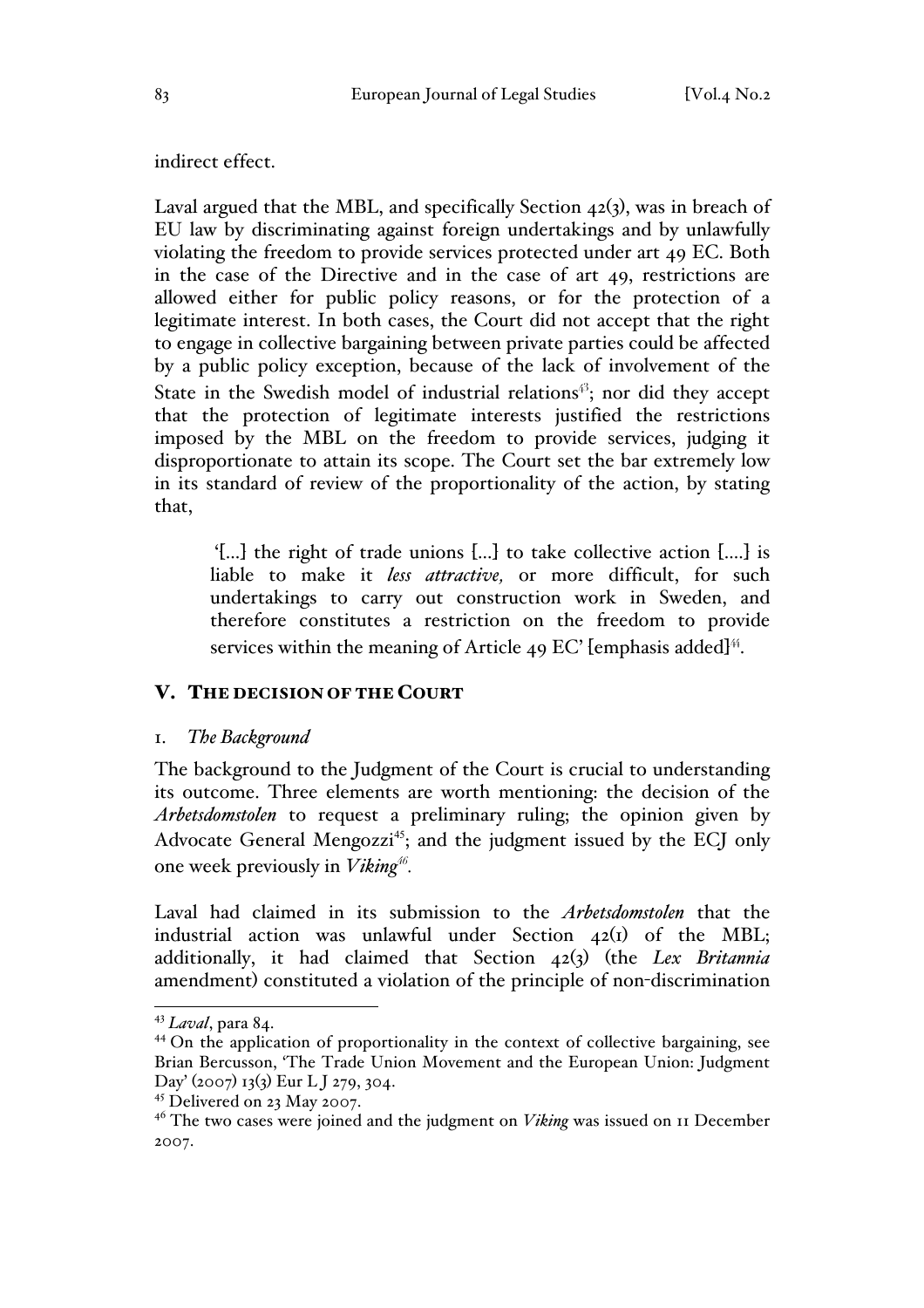indirect effect.

Laval argued that the MBL, and specifically Section  $42(3)$ , was in breach of EU law by discriminating against foreign undertakings and by unlawfully violating the freedom to provide services protected under art 49 EC. Both in the case of the Directive and in the case of art 49, restrictions are allowed either for public policy reasons, or for the protection of a legitimate interest. In both cases, the Court did not accept that the right to engage in collective bargaining between private parties could be affected by a public policy exception, because of the lack of involvement of the State in the Swedish model of industrial relations<sup>43</sup>; nor did they accept that the protection of legitimate interests justified the restrictions imposed by the MBL on the freedom to provide services, judging it disproportionate to attain its scope. The Court set the bar extremely low in its standard of review of the proportionality of the action, by stating that,

'[...] the right of trade unions [...] to take collective action [....] is liable to make it *less attractive,* or more difficult, for such undertakings to carry out construction work in Sweden, and therefore constitutes a restriction on the freedom to provide services within the meaning of Article 49 EC' [emphasis added]<sup>44</sup>.

### V. THE DECISION OF THE COURT

#### 1. *The Background*

The background to the Judgment of the Court is crucial to understanding its outcome. Three elements are worth mentioning: the decision of the *Arbetsdomstolen* to request a preliminary ruling; the opinion given by Advocate General Mengozzi<sup>45</sup>; and the judgment issued by the ECJ only one week previously in *Viking<sup>46</sup>.*

Laval had claimed in its submission to the *Arbetsdomstolen* that the industrial action was unlawful under Section 42(1) of the MBL; additionally, it had claimed that Section 42(3) (the *Lex Britannia*  amendment) constituted a violation of the principle of non-discrimination

 <sup>43</sup> *Laval*, para 84.

<sup>&</sup>lt;sup>44</sup> On the application of proportionality in the context of collective bargaining, see Brian Bercusson, 'The Trade Union Movement and the European Union: Judgment Day' (2007) 13(3) Eur LJ 279, 304.<br><sup>45</sup> Delivered on 23 May 2007.

<sup>&</sup>lt;sup>46</sup> The two cases were joined and the judgment on *Viking* was issued on 11 December 2007.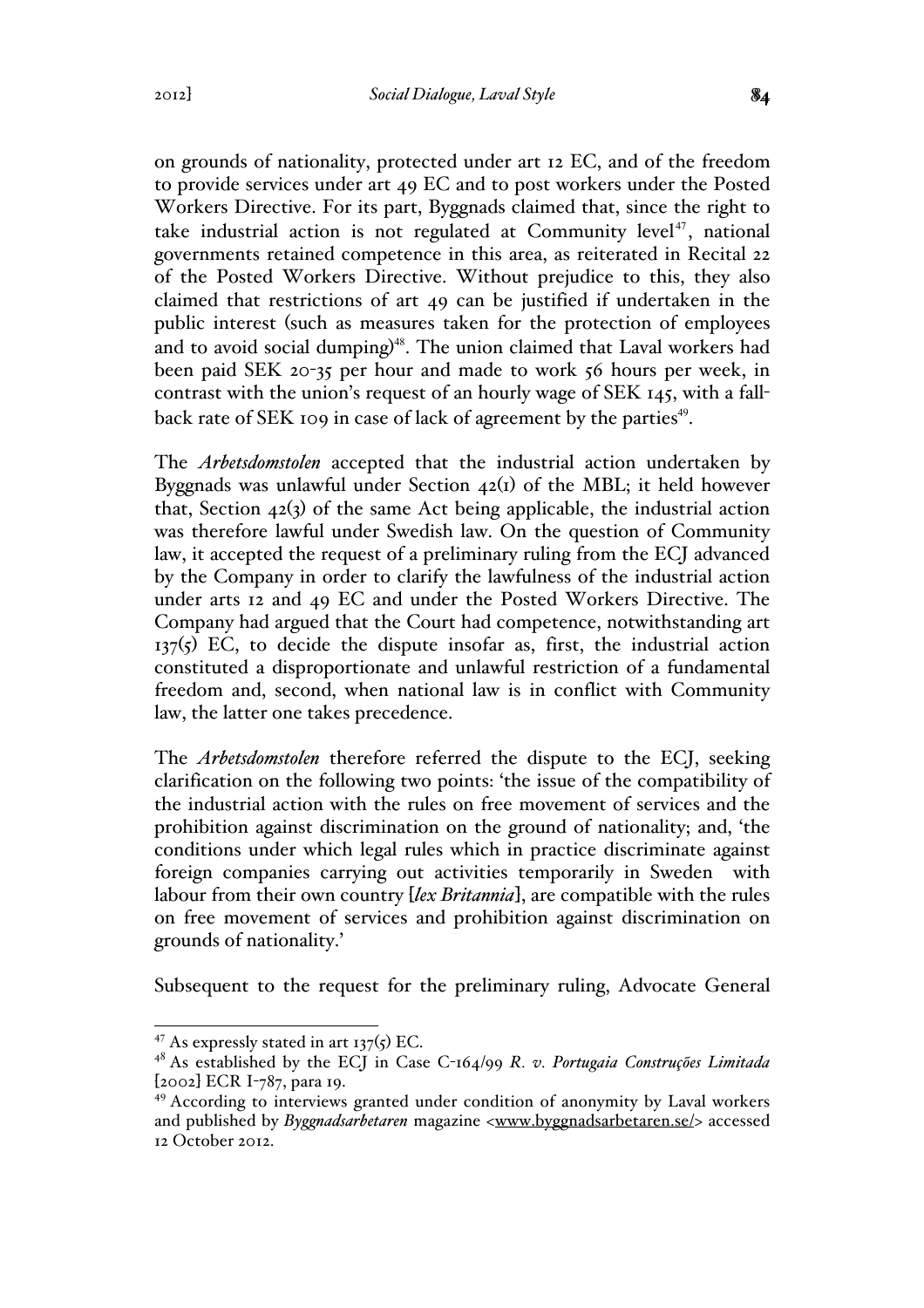on grounds of nationality, protected under art 12 EC, and of the freedom to provide services under art 49 EC and to post workers under the Posted Workers Directive. For its part, Byggnads claimed that, since the right to take industrial action is not regulated at Community level<sup> $47$ </sup>, national governments retained competence in this area, as reiterated in Recital 22 of the Posted Workers Directive. Without prejudice to this, they also claimed that restrictions of art 49 can be justified if undertaken in the public interest (such as measures taken for the protection of employees and to avoid social dumping)<sup>48</sup>. The union claimed that Laval workers had been paid SEK 20-35 per hour and made to work 56 hours per week, in contrast with the union's request of an hourly wage of SEK 145, with a fallback rate of SEK 109 in case of lack of agreement by the parties<sup>49</sup>.

The *Arbetsdomstolen* accepted that the industrial action undertaken by Byggnads was unlawful under Section  $42(i)$  of the MBL; it held however that, Section  $42(3)$  of the same Act being applicable, the industrial action was therefore lawful under Swedish law. On the question of Community law, it accepted the request of a preliminary ruling from the ECJ advanced by the Company in order to clarify the lawfulness of the industrial action under arts 12 and 49 EC and under the Posted Workers Directive. The Company had argued that the Court had competence, notwithstanding art  $137(5)$  EC, to decide the dispute insofar as, first, the industrial action constituted a disproportionate and unlawful restriction of a fundamental freedom and, second, when national law is in conflict with Community law, the latter one takes precedence.

The *Arbetsdomstolen* therefore referred the dispute to the ECJ, seeking clarification on the following two points: 'the issue of the compatibility of the industrial action with the rules on free movement of services and the prohibition against discrimination on the ground of nationality; and, 'the conditions under which legal rules which in practice discriminate against foreign companies carrying out activities temporarily in Sweden with labour from their own country [*lex Britannia*], are compatible with the rules on free movement of services and prohibition against discrimination on grounds of nationality.'

Subsequent to the request for the preliminary ruling, Advocate General

 $47$  As expressly stated in art 137(5) EC.

<sup>48</sup> As established by the ECJ in Case C-164/99 *R. v. Portugaia Construções Limitada* [2002] ECR I-787, para 19.

<sup>&</sup>lt;sup>49</sup> According to interviews granted under condition of anonymity by Laval workers and published by *Byggnadsarbetaren* magazine <www.byggnadsarbetaren.se/> accessed 12 October 2012.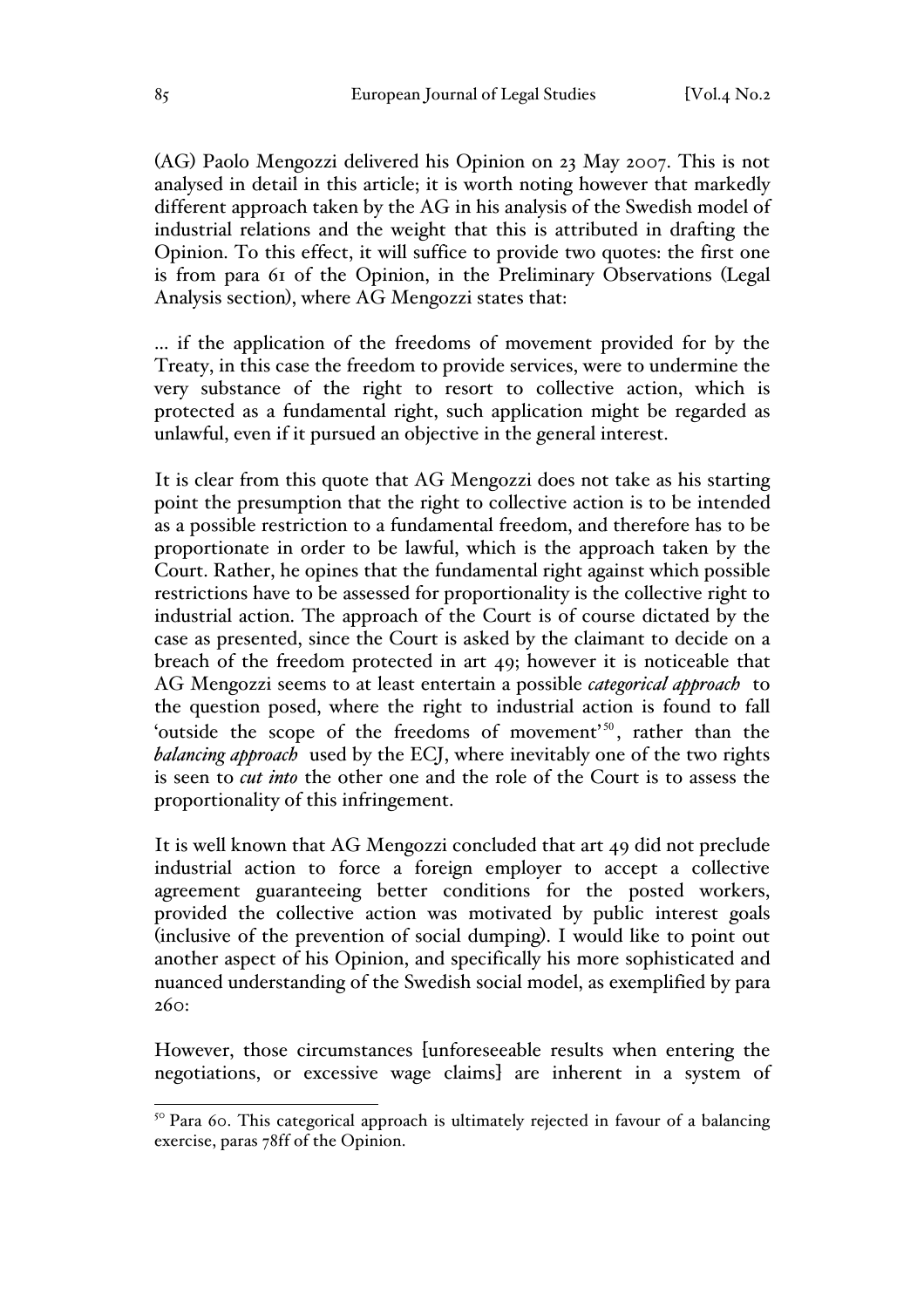(AG) Paolo Mengozzi delivered his Opinion on 23 May 2007. This is not analysed in detail in this article; it is worth noting however that markedly different approach taken by the AG in his analysis of the Swedish model of industrial relations and the weight that this is attributed in drafting the Opinion. To this effect, it will suffice to provide two quotes: the first one is from para 61 of the Opinion, in the Preliminary Observations (Legal Analysis section), where AG Mengozzi states that:

... if the application of the freedoms of movement provided for by the Treaty, in this case the freedom to provide services, were to undermine the very substance of the right to resort to collective action, which is protected as a fundamental right, such application might be regarded as unlawful, even if it pursued an objective in the general interest.

It is clear from this quote that AG Mengozzi does not take as his starting point the presumption that the right to collective action is to be intended as a possible restriction to a fundamental freedom, and therefore has to be proportionate in order to be lawful, which is the approach taken by the Court. Rather, he opines that the fundamental right against which possible restrictions have to be assessed for proportionality is the collective right to industrial action. The approach of the Court is of course dictated by the case as presented, since the Court is asked by the claimant to decide on a breach of the freedom protected in art 49; however it is noticeable that AG Mengozzi seems to at least entertain a possible *categorical approach* to the question posed, where the right to industrial action is found to fall 'outside the scope of the freedoms of movement'<sup>50</sup>, rather than the *balancing approach* used by the ECJ, where inevitably one of the two rights is seen to *cut into* the other one and the role of the Court is to assess the proportionality of this infringement.

It is well known that AG Mengozzi concluded that art 49 did not preclude industrial action to force a foreign employer to accept a collective agreement guaranteeing better conditions for the posted workers, provided the collective action was motivated by public interest goals (inclusive of the prevention of social dumping). I would like to point out another aspect of his Opinion, and specifically his more sophisticated and nuanced understanding of the Swedish social model, as exemplified by para 260:

However, those circumstances [unforeseeable results when entering the negotiations, or excessive wage claims] are inherent in a system of

<sup>&</sup>lt;sup>50</sup> Para 60. This categorical approach is ultimately rejected in favour of a balancing exercise, paras 78ff of the Opinion.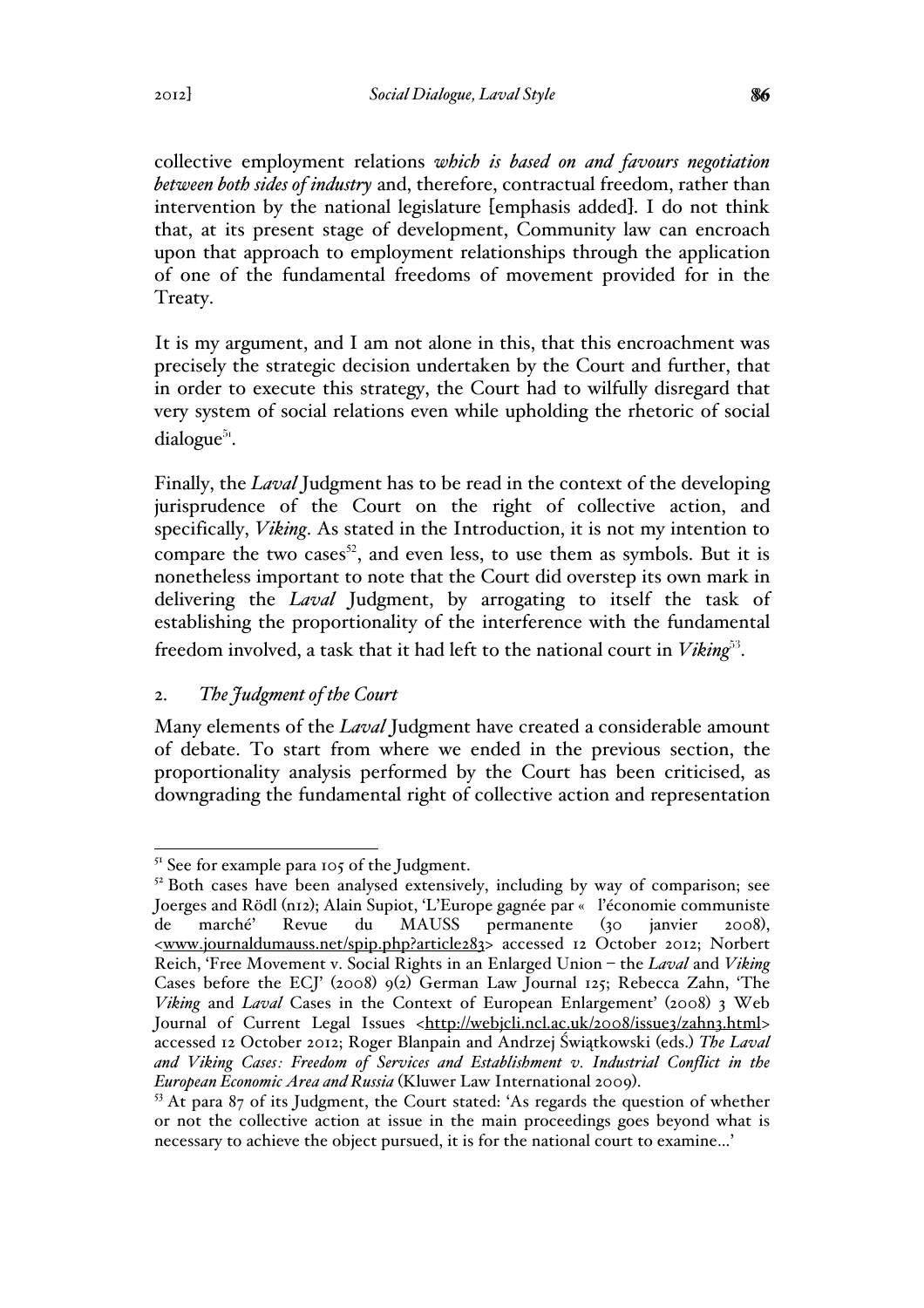collective employment relations *which is based on and favours negotiation between both sides of industry* and, therefore, contractual freedom, rather than intervention by the national legislature [emphasis added]. I do not think that, at its present stage of development, Community law can encroach upon that approach to employment relationships through the application of one of the fundamental freedoms of movement provided for in the Treaty.

It is my argument, and I am not alone in this, that this encroachment was precisely the strategic decision undertaken by the Court and further, that in order to execute this strategy, the Court had to wilfully disregard that very system of social relations even while upholding the rhetoric of social dialogue $51$ .

Finally, the *Laval* Judgment has to be read in the context of the developing jurisprudence of the Court on the right of collective action, and specifically, *Viking*. As stated in the Introduction, it is not my intention to compare the two cases<sup>52</sup>, and even less, to use them as symbols. But it is nonetheless important to note that the Court did overstep its own mark in delivering the *Laval* Judgment, by arrogating to itself the task of establishing the proportionality of the interference with the fundamental freedom involved, a task that it had left to the national court in *Viking*<sup>53</sup>.

# 2. *The Judgment of the Court*

Many elements of the *Laval* Judgment have created a considerable amount of debate. To start from where we ended in the previous section, the proportionality analysis performed by the Court has been criticised, as downgrading the fundamental right of collective action and representation

<sup>&</sup>lt;sup>51</sup> See for example para 105 of the Judgment.

 $52$  Both cases have been analysed extensively, including by way of comparison; see Joerges and Rödl (n12); Alain Supiot, 'L'Europe gagnée par « l'économie communiste de marché' Revue du MAUSS permanente (30 janvier 2008), <www.journaldumauss.net/spip.php?article283> accessed 12 October 2012; Norbert Reich, 'Free Movement v. Social Rights in an Enlarged Union – the *Laval* and *Viking*  Cases before the ECJ' (2008) 9(2) German Law Journal 125; Rebecca Zahn, 'The *Viking* and *Laval* Cases in the Context of European Enlargement' (2008) 3 Web Journal of Current Legal Issues <http://webjcli.ncl.ac.uk/2008/issue3/zahn3.html> accessed 12 October 2012; Roger Blanpain and Andrzej Świątkowski (eds.) *The Laval and Viking Cases: Freedom of Services and Establishment v. Industrial Conflict in the European Economic Area and Russia* (Kluwer Law International 2009).<br><sup>53</sup> At para 87 of its Judgment, the Court stated: 'As regards the question of whether

or not the collective action at issue in the main proceedings goes beyond what is necessary to achieve the object pursued, it is for the national court to examine…'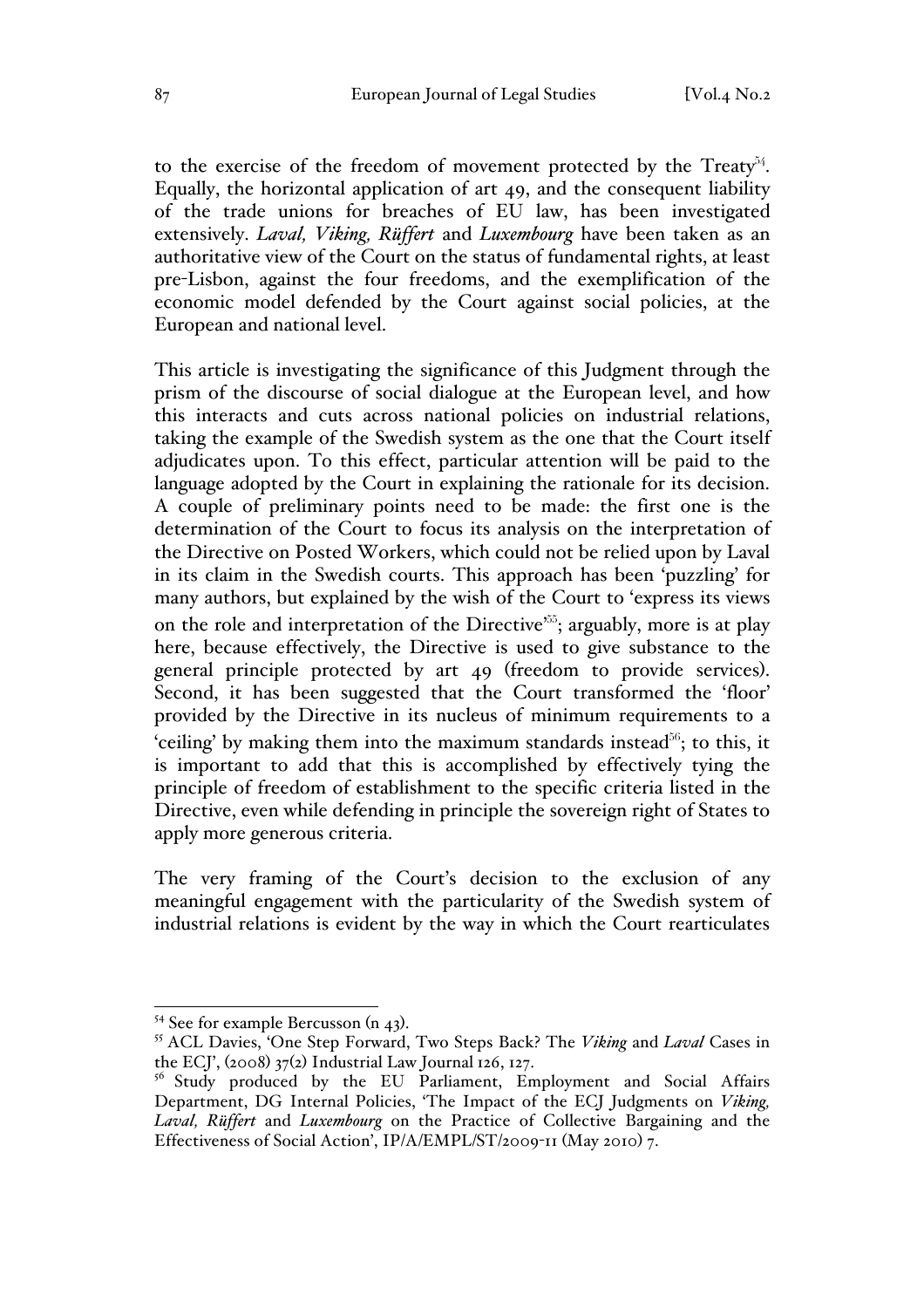to the exercise of the freedom of movement protected by the Treaty $54$ . Equally, the horizontal application of art 49, and the consequent liability of the trade unions for breaches of EU law, has been investigated extensively. *Laval, Viking, Rüffert* and *Luxembourg* have been taken as an authoritative view of the Court on the status of fundamental rights, at least pre-Lisbon, against the four freedoms, and the exemplification of the economic model defended by the Court against social policies, at the European and national level.

This article is investigating the significance of this Judgment through the prism of the discourse of social dialogue at the European level, and how this interacts and cuts across national policies on industrial relations, taking the example of the Swedish system as the one that the Court itself adjudicates upon. To this effect, particular attention will be paid to the language adopted by the Court in explaining the rationale for its decision. A couple of preliminary points need to be made: the first one is the determination of the Court to focus its analysis on the interpretation of the Directive on Posted Workers, which could not be relied upon by Laval in its claim in the Swedish courts. This approach has been 'puzzling' for many authors, but explained by the wish of the Court to 'express its views on the role and interpretation of the Directive<sup>555</sup>; arguably, more is at play here, because effectively, the Directive is used to give substance to the general principle protected by art 49 (freedom to provide services). Second, it has been suggested that the Court transformed the 'floor' provided by the Directive in its nucleus of minimum requirements to a 'ceiling' by making them into the maximum standards instead $^{56}$ ; to this, it is important to add that this is accomplished by effectively tying the principle of freedom of establishment to the specific criteria listed in the Directive, even while defending in principle the sovereign right of States to apply more generous criteria.

The very framing of the Court's decision to the exclusion of any meaningful engagement with the particularity of the Swedish system of industrial relations is evident by the way in which the Court rearticulates

<sup>54</sup> See for example Bercusson (n 43). 55 ACL Davies, 'One Step Forward, Two Steps Back? The *Viking* and *Laval* Cases in the ECJ',  $(2008)$  37(2) Industrial Law Journal 126, 127.

<sup>&</sup>lt;sup>56</sup> Study produced by the EU Parliament, Employment and Social Affairs Department, DG Internal Policies, 'The Impact of the ECJ Judgments on *Viking, Laval, Rüffert* and *Luxembourg* on the Practice of Collective Bargaining and the Effectiveness of Social Action', IP/A/EMPL/ST/2009-11 (May 2010) 7.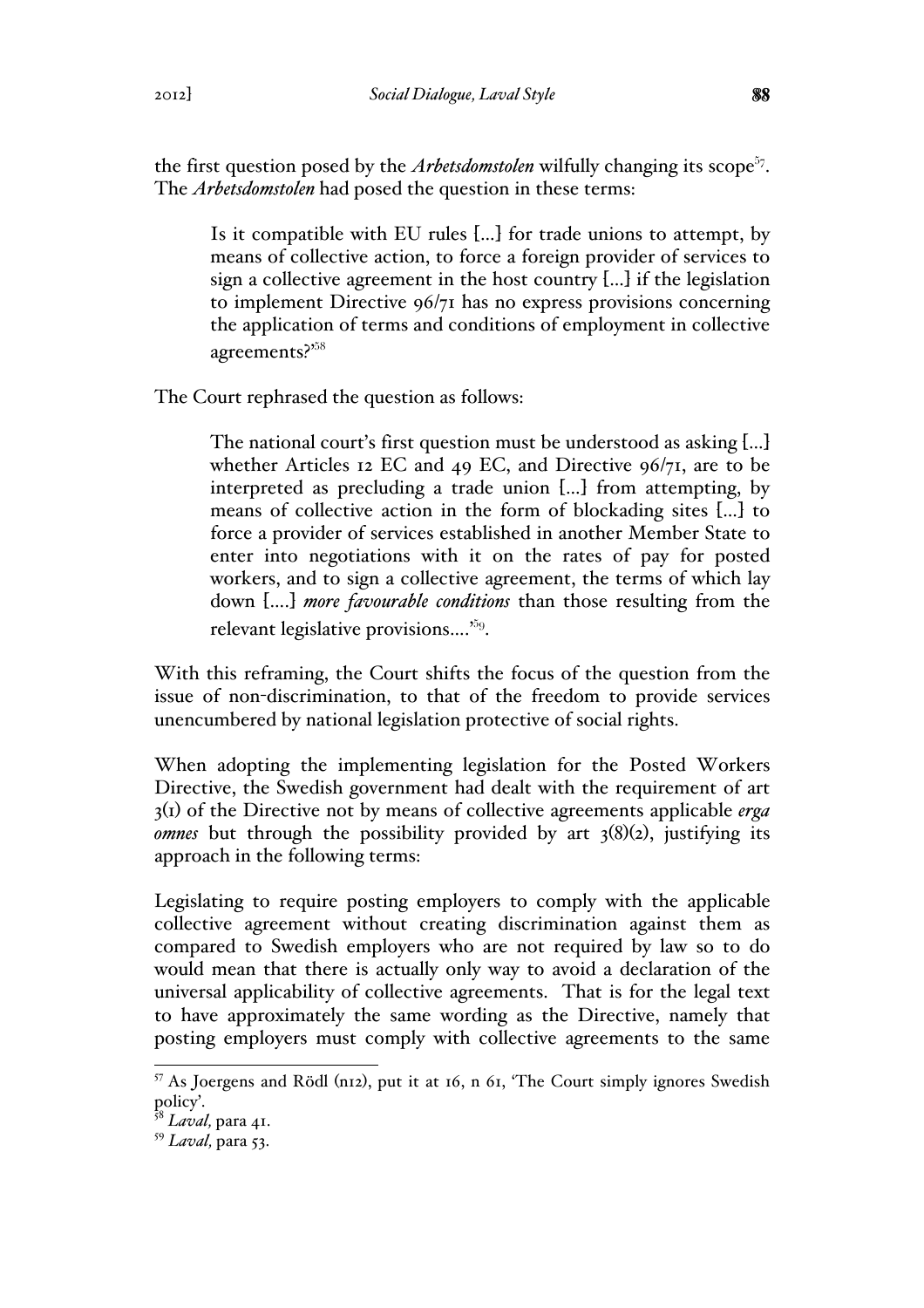the first question posed by the *Arbetsdomstolen* wilfully changing its scope<sup>57</sup>. The *Arbetsdomstolen* had posed the question in these terms:

Is it compatible with EU rules […] for trade unions to attempt, by means of collective action, to force a foreign provider of services to sign a collective agreement in the host country […] if the legislation to implement Directive 96/71 has no express provisions concerning the application of terms and conditions of employment in collective agreements?'<sup>58</sup>

The Court rephrased the question as follows:

The national court's first question must be understood as asking […] whether Articles 12 EC and 49 EC, and Directive 96/71, are to be interpreted as precluding a trade union […] from attempting, by means of collective action in the form of blockading sites […] to force a provider of services established in another Member State to enter into negotiations with it on the rates of pay for posted workers, and to sign a collective agreement, the terms of which lay down [….] *more favourable conditions* than those resulting from the relevant legislative provisions….'<sup>59</sup>.

With this reframing, the Court shifts the focus of the question from the issue of non-discrimination, to that of the freedom to provide services unencumbered by national legislation protective of social rights.

When adopting the implementing legislation for the Posted Workers Directive, the Swedish government had dealt with the requirement of art 3(1) of the Directive not by means of collective agreements applicable *erga omnes* but through the possibility provided by art  $3(8)(2)$ , justifying its approach in the following terms:

Legislating to require posting employers to comply with the applicable collective agreement without creating discrimination against them as compared to Swedish employers who are not required by law so to do would mean that there is actually only way to avoid a declaration of the universal applicability of collective agreements. That is for the legal text to have approximately the same wording as the Directive, namely that posting employers must comply with collective agreements to the same

 <sup>57</sup> As Joergens and Rödl (n12), put it at 16, n 61, 'The Court simply ignores Swedish policy'.

<sup>58</sup> *Laval,* para 41.

<sup>59</sup> *Laval,* para 53.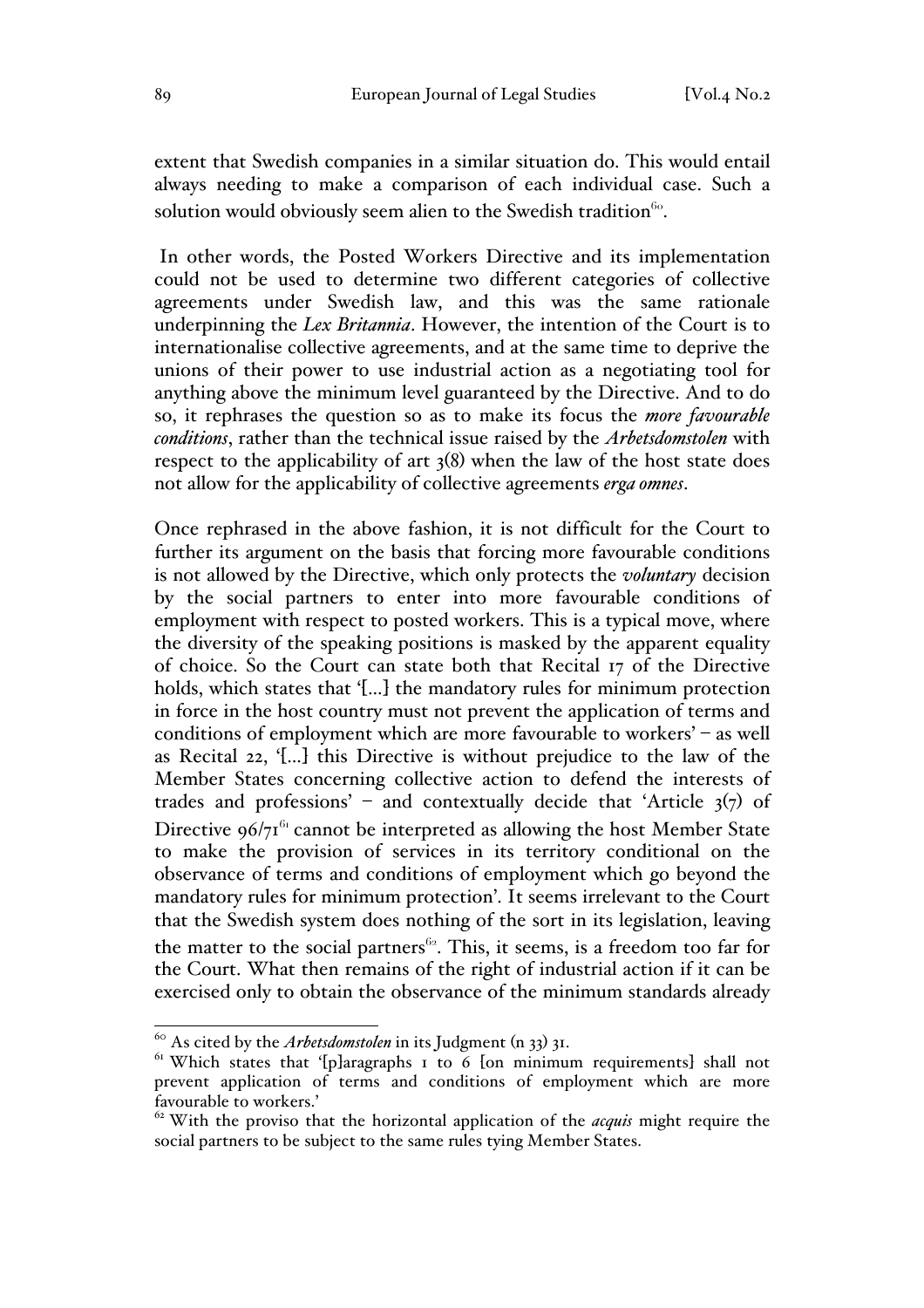extent that Swedish companies in a similar situation do. This would entail always needing to make a comparison of each individual case. Such a solution would obviously seem alien to the Swedish tradition<sup>60</sup>.

In other words, the Posted Workers Directive and its implementation could not be used to determine two different categories of collective agreements under Swedish law, and this was the same rationale underpinning the *Lex Britannia*. However, the intention of the Court is to internationalise collective agreements, and at the same time to deprive the unions of their power to use industrial action as a negotiating tool for anything above the minimum level guaranteed by the Directive. And to do so, it rephrases the question so as to make its focus the *more favourable conditions*, rather than the technical issue raised by the *Arbetsdomstolen* with respect to the applicability of art 3(8) when the law of the host state does not allow for the applicability of collective agreements *erga omnes*.

Once rephrased in the above fashion, it is not difficult for the Court to further its argument on the basis that forcing more favourable conditions is not allowed by the Directive, which only protects the *voluntary* decision by the social partners to enter into more favourable conditions of employment with respect to posted workers. This is a typical move, where the diversity of the speaking positions is masked by the apparent equality of choice. So the Court can state both that Recital 17 of the Directive holds, which states that '[…] the mandatory rules for minimum protection in force in the host country must not prevent the application of terms and conditions of employment which are more favourable to workers' – as well as Recital 22, '[…] this Directive is without prejudice to the law of the Member States concerning collective action to defend the interests of trades and professions' – and contextually decide that 'Article  $3(7)$  of Directive  $96/7<sup>61</sup>$  cannot be interpreted as allowing the host Member State to make the provision of services in its territory conditional on the observance of terms and conditions of employment which go beyond the mandatory rules for minimum protection'. It seems irrelevant to the Court that the Swedish system does nothing of the sort in its legislation, leaving the matter to the social partners<sup>62</sup>. This, it seems, is a freedom too far for the Court. What then remains of the right of industrial action if it can be exercised only to obtain the observance of the minimum standards already

 <sup>60</sup> As cited by the *Arbetsdomstolen* in its Judgment (n 33) 31.

 $61$  Which states that '[p]aragraphs 1 to 6 [on minimum requirements] shall not prevent application of terms and conditions of employment which are more favourable to workers.'

<sup>62</sup> With the proviso that the horizontal application of the *acquis* might require the social partners to be subject to the same rules tying Member States.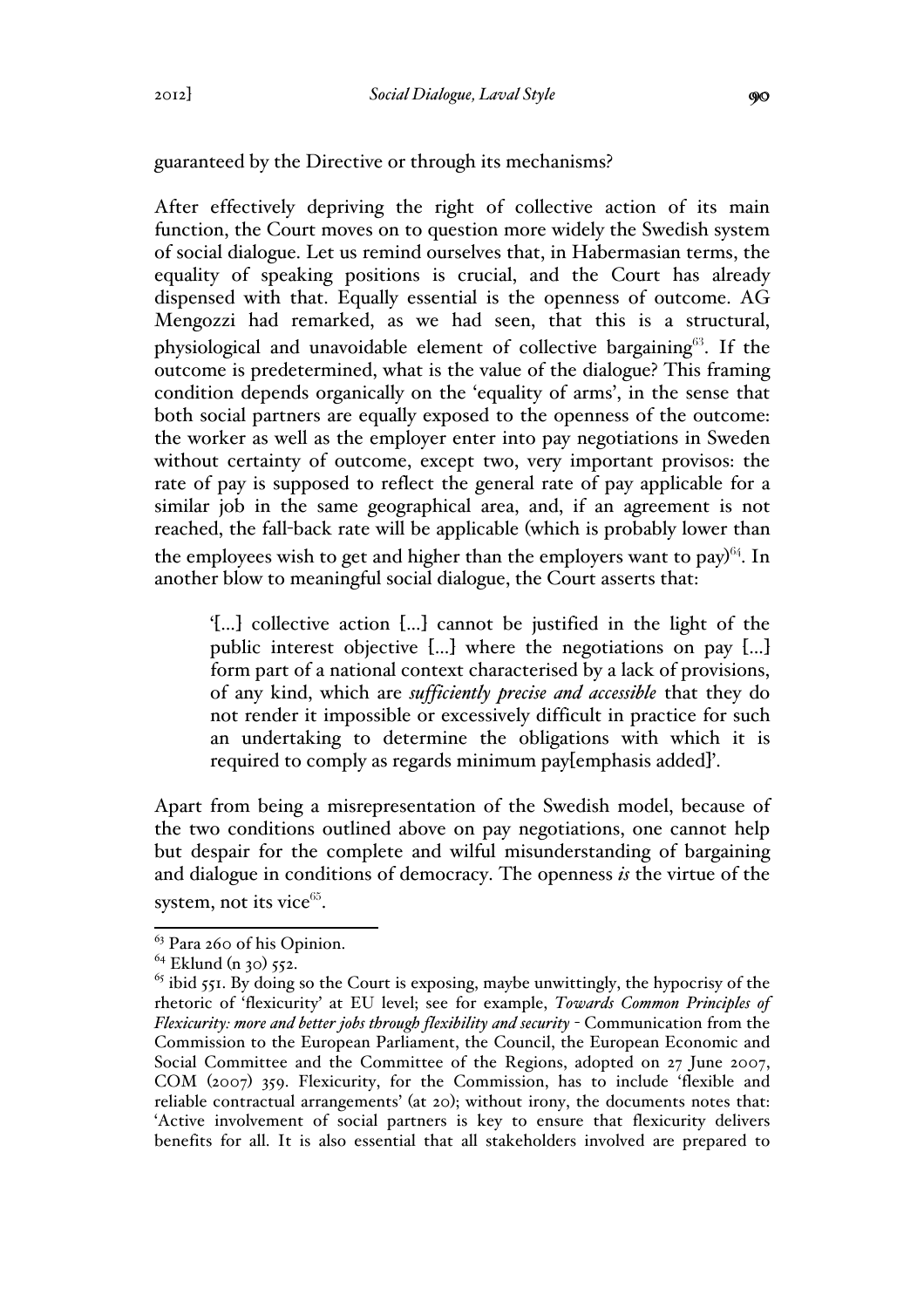guaranteed by the Directive or through its mechanisms?

After effectively depriving the right of collective action of its main function, the Court moves on to question more widely the Swedish system of social dialogue. Let us remind ourselves that, in Habermasian terms, the equality of speaking positions is crucial, and the Court has already dispensed with that. Equally essential is the openness of outcome. AG Mengozzi had remarked, as we had seen, that this is a structural, physiological and unavoidable element of collective bargaining $63$ . If the outcome is predetermined, what is the value of the dialogue? This framing condition depends organically on the 'equality of arms', in the sense that both social partners are equally exposed to the openness of the outcome: the worker as well as the employer enter into pay negotiations in Sweden without certainty of outcome, except two, very important provisos: the rate of pay is supposed to reflect the general rate of pay applicable for a similar job in the same geographical area, and, if an agreement is not reached, the fall-back rate will be applicable (which is probably lower than the employees wish to get and higher than the employers want to pay) $64$ . In another blow to meaningful social dialogue, the Court asserts that:

'[…] collective action […] cannot be justified in the light of the public interest objective […] where the negotiations on pay […] form part of a national context characterised by a lack of provisions, of any kind, which are *sufficiently precise and accessible* that they do not render it impossible or excessively difficult in practice for such an undertaking to determine the obligations with which it is required to comply as regards minimum pay[emphasis added]'.

Apart from being a misrepresentation of the Swedish model, because of the two conditions outlined above on pay negotiations, one cannot help but despair for the complete and wilful misunderstanding of bargaining and dialogue in conditions of democracy. The openness *is* the virtue of the system, not its vice $65$ .

 $63$  Para 260 of his Opinion.

 $64$  Eklund (n 30) 552.

 $65$  ibid 551. By doing so the Court is exposing, maybe unwittingly, the hypocrisy of the rhetoric of 'flexicurity' at EU level; see for example, *Towards Common Principles of Flexicurity: more and better jobs through flexibility and security* - Communication from the Commission to the European Parliament, the Council, the European Economic and Social Committee and the Committee of the Regions, adopted on 27 June 2007, COM (2007) 359. Flexicurity, for the Commission, has to include 'flexible and reliable contractual arrangements' (at 20); without irony, the documents notes that: 'Active involvement of social partners is key to ensure that flexicurity delivers benefits for all. It is also essential that all stakeholders involved are prepared to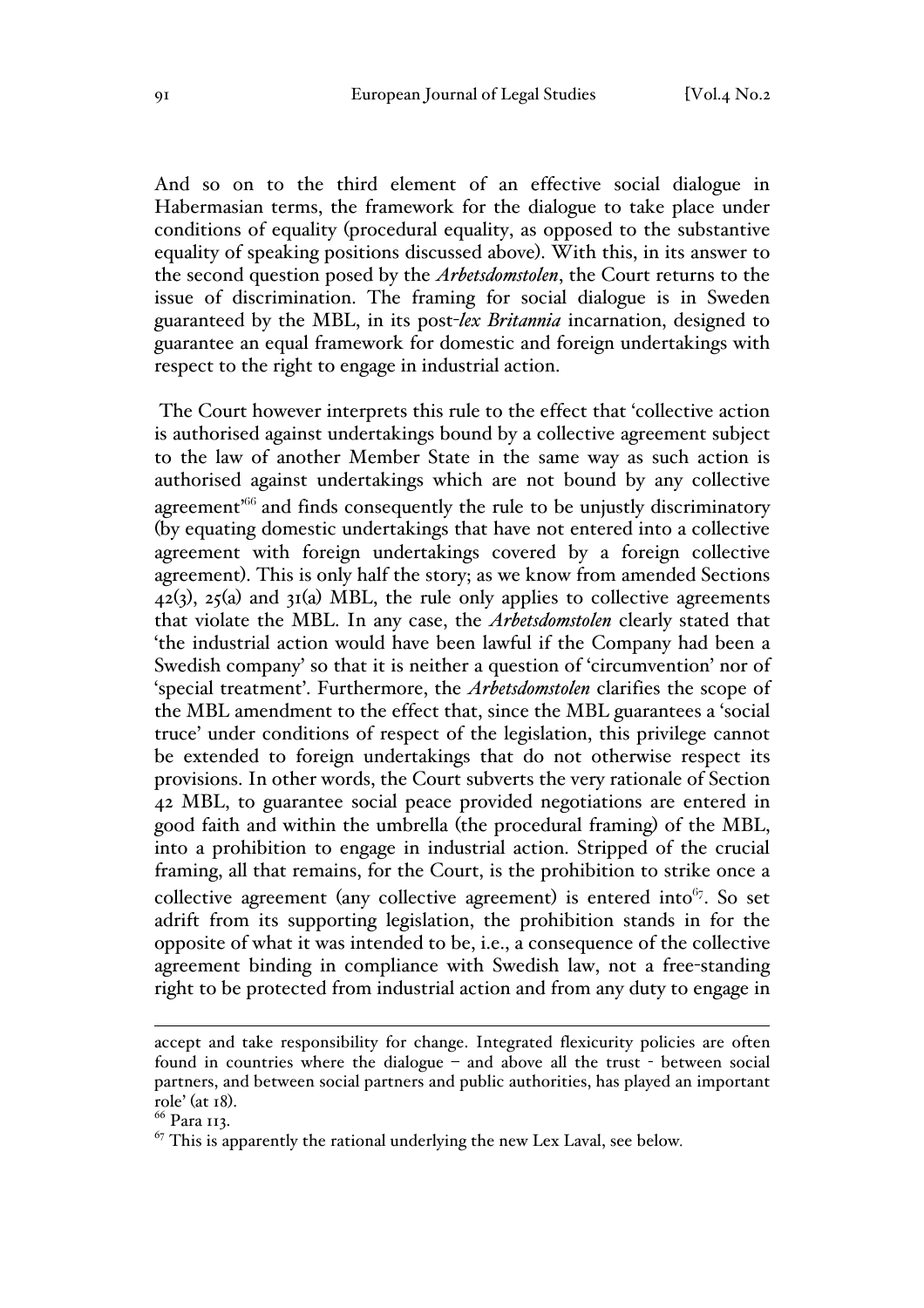And so on to the third element of an effective social dialogue in Habermasian terms, the framework for the dialogue to take place under conditions of equality (procedural equality, as opposed to the substantive equality of speaking positions discussed above). With this, in its answer to the second question posed by the *Arbetsdomstolen*, the Court returns to the issue of discrimination. The framing for social dialogue is in Sweden guaranteed by the MBL, in its post-*lex Britannia* incarnation, designed to guarantee an equal framework for domestic and foreign undertakings with respect to the right to engage in industrial action.

The Court however interprets this rule to the effect that 'collective action is authorised against undertakings bound by a collective agreement subject to the law of another Member State in the same way as such action is authorised against undertakings which are not bound by any collective agreement<sup> $66$ </sup> and finds consequently the rule to be unjustly discriminatory (by equating domestic undertakings that have not entered into a collective agreement with foreign undertakings covered by a foreign collective agreement). This is only half the story; as we know from amended Sections  $42(3)$ ,  $25(4)$  and  $31(4)$  MBL, the rule only applies to collective agreements that violate the MBL. In any case, the *Arbetsdomstolen* clearly stated that 'the industrial action would have been lawful if the Company had been a Swedish company' so that it is neither a question of 'circumvention' nor of 'special treatment'. Furthermore, the *Arbetsdomstolen* clarifies the scope of the MBL amendment to the effect that, since the MBL guarantees a 'social truce' under conditions of respect of the legislation, this privilege cannot be extended to foreign undertakings that do not otherwise respect its provisions. In other words, the Court subverts the very rationale of Section 42 MBL, to guarantee social peace provided negotiations are entered in good faith and within the umbrella (the procedural framing) of the MBL, into a prohibition to engage in industrial action. Stripped of the crucial framing, all that remains, for the Court, is the prohibition to strike once a collective agreement (any collective agreement) is entered into  $67$ . So set adrift from its supporting legislation, the prohibition stands in for the opposite of what it was intended to be, i.e., a consequence of the collective agreement binding in compliance with Swedish law, not a free-standing right to be protected from industrial action and from any duty to engage in

accept and take responsibility for change. Integrated flexicurity policies are often found in countries where the dialogue – and above all the trust - between social partners, and between social partners and public authorities, has played an important role' (at 18). 66 Para 113.

<sup>67</sup> This is apparently the rational underlying the new Lex Laval, see below*.*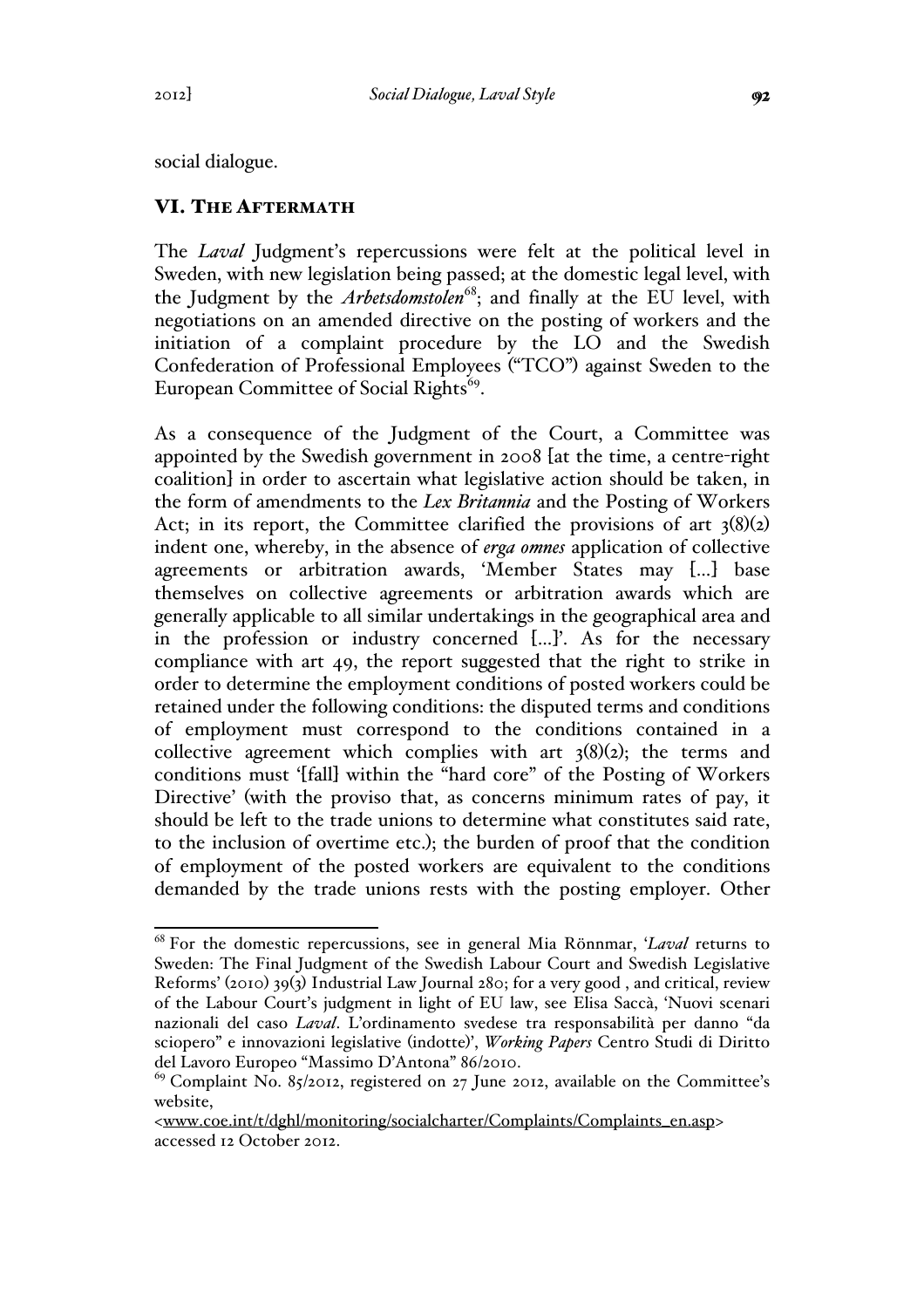social dialogue.

### VI. THE AFTERMATH

The *Laval* Judgment's repercussions were felt at the political level in Sweden, with new legislation being passed; at the domestic legal level, with the Judgment by the *Arbetsdomstolen*<sup>68</sup>; and finally at the EU level, with negotiations on an amended directive on the posting of workers and the initiation of a complaint procedure by the LO and the Swedish Confederation of Professional Employees ("TCO") against Sweden to the European Committee of Social Rights<sup>69</sup>.

As a consequence of the Judgment of the Court, a Committee was appointed by the Swedish government in 2008 [at the time, a centre-right coalition] in order to ascertain what legislative action should be taken, in the form of amendments to the *Lex Britannia* and the Posting of Workers Act; in its report, the Committee clarified the provisions of art  $3(8)(2)$ indent one, whereby, in the absence of *erga omnes* application of collective agreements or arbitration awards, 'Member States may […] base themselves on collective agreements or arbitration awards which are generally applicable to all similar undertakings in the geographical area and in the profession or industry concerned […]'. As for the necessary compliance with art 49, the report suggested that the right to strike in order to determine the employment conditions of posted workers could be retained under the following conditions: the disputed terms and conditions of employment must correspond to the conditions contained in a collective agreement which complies with art  $3(8)(2)$ ; the terms and conditions must '[fall] within the "hard core" of the Posting of Workers Directive' (with the proviso that, as concerns minimum rates of pay, it should be left to the trade unions to determine what constitutes said rate, to the inclusion of overtime etc.); the burden of proof that the condition of employment of the posted workers are equivalent to the conditions demanded by the trade unions rests with the posting employer. Other

 <sup>68</sup> For the domestic repercussions, see in general Mia Rönnmar, '*Laval* returns to Sweden: The Final Judgment of the Swedish Labour Court and Swedish Legislative Reforms' (2010) 39(3) Industrial Law Journal 280; for a very good , and critical, review of the Labour Court's judgment in light of EU law, see Elisa Saccà, 'Nuovi scenari nazionali del caso *Laval*. L'ordinamento svedese tra responsabilità per danno "da sciopero" e innovazioni legislative (indotte)', *Working Papers* Centro Studi di Diritto del Lavoro Europeo "Massimo D'Antona" 86/2010.

<sup>&</sup>lt;sup>69</sup> Complaint No. 85/2012, registered on 27 June 2012, available on the Committee's website,

<sup>&</sup>lt;www.coe.int/t/dghl/monitoring/socialcharter/Complaints/Complaints\_en.asp> accessed 12 October 2012.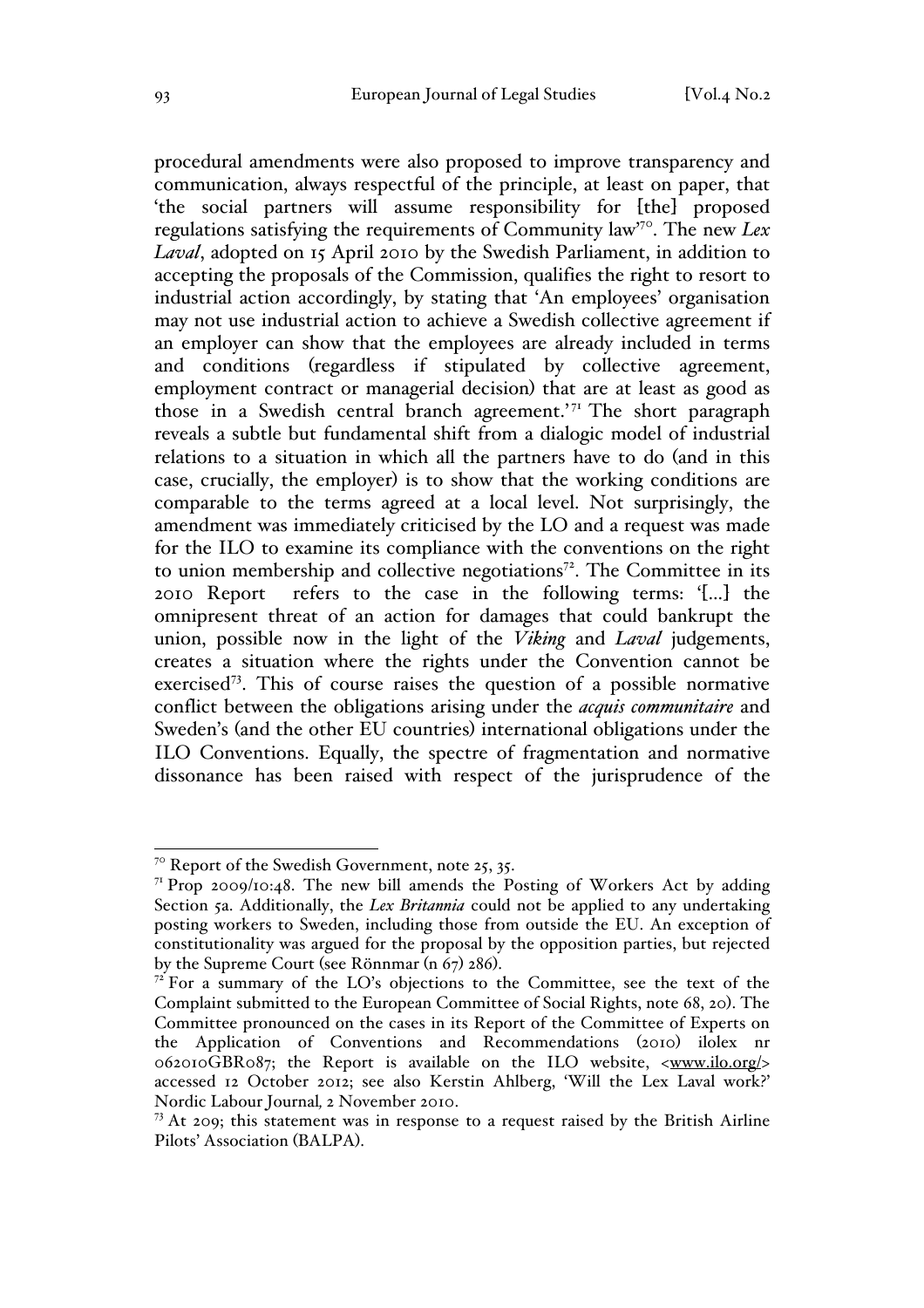procedural amendments were also proposed to improve transparency and communication, always respectful of the principle, at least on paper, that 'the social partners will assume responsibility for [the] proposed regulations satisfying the requirements of Community law'70. The new *Lex Laval*, adopted on 15 April 2010 by the Swedish Parliament, in addition to accepting the proposals of the Commission, qualifies the right to resort to industrial action accordingly, by stating that 'An employees' organisation may not use industrial action to achieve a Swedish collective agreement if an employer can show that the employees are already included in terms and conditions (regardless if stipulated by collective agreement, employment contract or managerial decision) that are at least as good as those in a Swedish central branch agreement.<sup> $71$ </sup> The short paragraph reveals a subtle but fundamental shift from a dialogic model of industrial relations to a situation in which all the partners have to do (and in this case, crucially, the employer) is to show that the working conditions are comparable to the terms agreed at a local level. Not surprisingly, the amendment was immediately criticised by the LO and a request was made for the ILO to examine its compliance with the conventions on the right to union membership and collective negotiations<sup> $72$ </sup>. The Committee in its 2010 Report refers to the case in the following terms: '[…] the omnipresent threat of an action for damages that could bankrupt the union, possible now in the light of the *Viking* and *Laval* judgements, creates a situation where the rights under the Convention cannot be exercised73. This of course raises the question of a possible normative conflict between the obligations arising under the *acquis communitaire* and Sweden's (and the other EU countries) international obligations under the ILO Conventions. Equally, the spectre of fragmentation and normative dissonance has been raised with respect of the jurisprudence of the

 $7^\circ$  Report of the Swedish Government, note 25, 35.

 $7<sup>T</sup>$  Prop 2009/10:48. The new bill amends the Posting of Workers Act by adding Section 5a. Additionally, the *Lex Britannia* could not be applied to any undertaking posting workers to Sweden, including those from outside the EU. An exception of constitutionality was argued for the proposal by the opposition parties, but rejected by the Supreme Court (see Rönnmar (n  $67$ ) 286).<br><sup>72</sup> For a summary of the LO's objections to the Committee, see the text of the

Complaint submitted to the European Committee of Social Rights, note 68, 20). The Committee pronounced on the cases in its Report of the Committee of Experts on the Application of Conventions and Recommendations (2010) ilolex nr  $0.062010$ GBR087; the Report is available on the ILO website,  $\langle$ www.ilo.org/> accessed 12 October 2012; see also Kerstin Ahlberg, 'Will the Lex Laval work?'

<sup>&</sup>lt;sup>73</sup> At 209; this statement was in response to a request raised by the British Airline Pilots' Association (BALPA).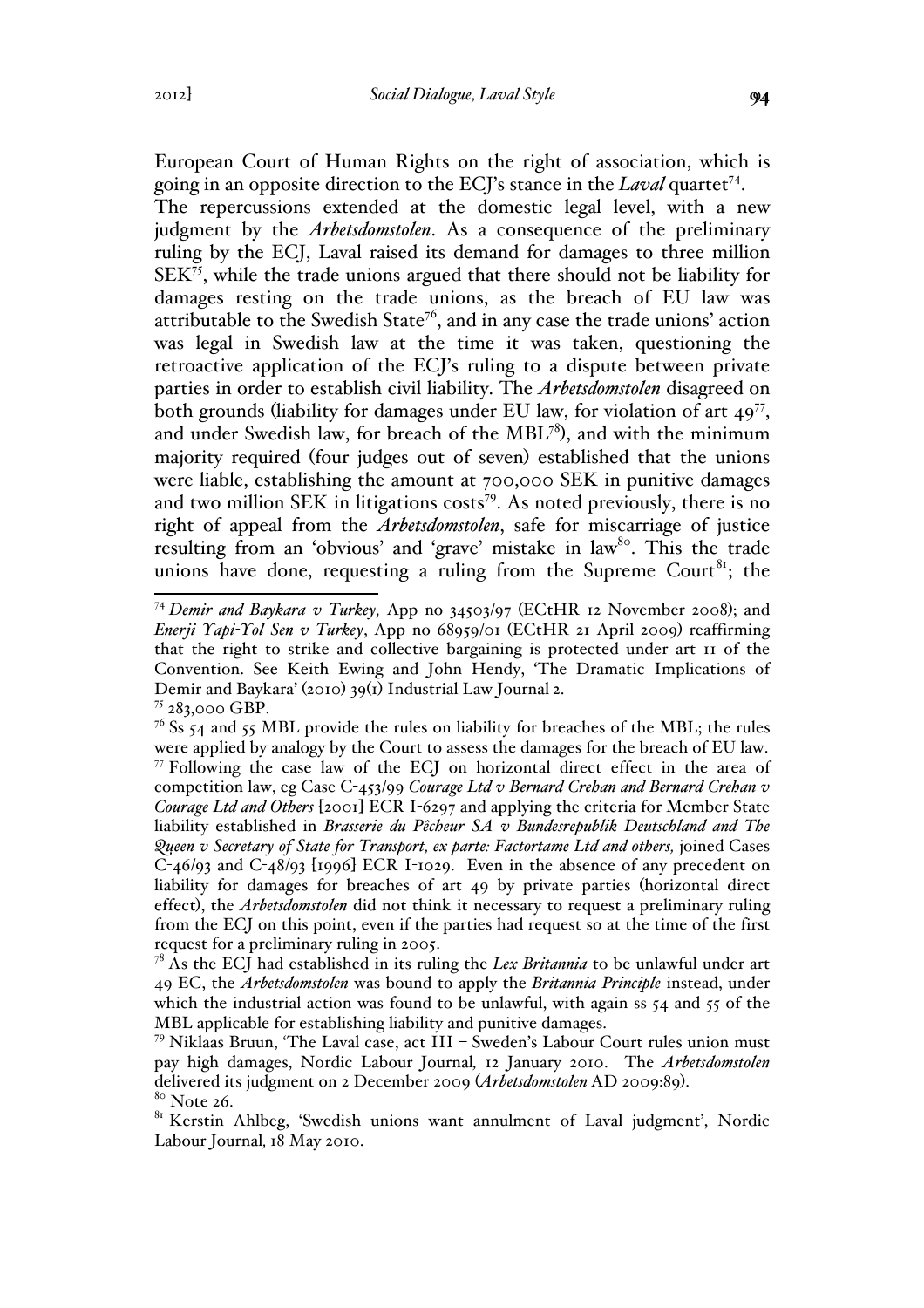European Court of Human Rights on the right of association, which is going in an opposite direction to the ECJ's stance in the *Laval* quartet<sup>74</sup>.

The repercussions extended at the domestic legal level, with a new judgment by the *Arbetsdomstolen*. As a consequence of the preliminary ruling by the ECJ, Laval raised its demand for damages to three million  $SEK<sup>75</sup>$ , while the trade unions argued that there should not be liability for damages resting on the trade unions, as the breach of EU law was attributable to the Swedish State<sup>76</sup>, and in any case the trade unions' action was legal in Swedish law at the time it was taken, questioning the retroactive application of the ECJ's ruling to a dispute between private parties in order to establish civil liability. The *Arbetsdomstolen* disagreed on both grounds (liability for damages under EU law, for violation of art  $49^{77}$ , and under Swedish law, for breach of the  $MBL^{78}$ ), and with the minimum majority required (four judges out of seven) established that the unions were liable, establishing the amount at 700,000 SEK in punitive damages and two million SEK in litigations costs<sup>79</sup>. As noted previously, there is no right of appeal from the *Arbetsdomstolen*, safe for miscarriage of justice resulting from an 'obvious' and 'grave' mistake in law<sup>80</sup>. This the trade unions have done, requesting a ruling from the Supreme Court<sup>81</sup>; the

 <sup>74</sup> *Demir and Baykara v Turkey,* App no 34503/97 (ECtHR 12 November 2008); and *Enerji Yapi-Yol Sen v Turkey*, App no 68959/01 (ECtHR 21 April 2009) reaffirming that the right to strike and collective bargaining is protected under art 11 of the Convention. See Keith Ewing and John Hendy, 'The Dramatic Implications of Demir and Baykara' (2010) 39(1) Industrial Law Journal 2.

 $75283,000$  GBP.

 $76$  Ss 54 and 55 MBL provide the rules on liability for breaches of the MBL; the rules were applied by analogy by the Court to assess the damages for the breach of EU law. <sup>77</sup> Following the case law of the ECJ on horizontal direct effect in the area of competition law, eg Case C-453/99 *Courage Ltd v Bernard Crehan and Bernard Crehan v Courage Ltd and Others* [2001] ECR I-6297 and applying the criteria for Member State liability established in *Brasserie du Pêcheur SA v Bundesrepublik Deutschland and The Queen v Secretary of State for Transport, ex parte: Factortame Ltd and others,* joined Cases C-46/93 and C-48/93 [1996] ECR I-1029. Even in the absence of any precedent on liability for damages for breaches of art 49 by private parties (horizontal direct effect), the *Arbetsdomstolen* did not think it necessary to request a preliminary ruling from the ECJ on this point, even if the parties had request so at the time of the first request for a preliminary ruling in 2005.

<sup>78</sup> As the ECJ had established in its ruling the *Lex Britannia* to be unlawful under art 49 EC, the *Arbetsdomstolen* was bound to apply the *Britannia Principle* instead, under which the industrial action was found to be unlawful, with again ss  $54$  and  $55$  of the MBL applicable for establishing liability and punitive damages.

<sup>79</sup> Niklaas Bruun, 'The Laval case, act III – Sweden's Labour Court rules union must pay high damages, Nordic Labour Journal*,* 12 January 2010. The *Arbetsdomstolen* delivered its judgment on 2 December 2009 (*Arbetsdomstolen* AD 2009:89).<br><sup>80</sup> Note 26.

<sup>&</sup>lt;sup>81</sup> Kerstin Ahlbeg, 'Swedish unions want annulment of Laval judgment', Nordic Labour Journal*,* 18 May 2010.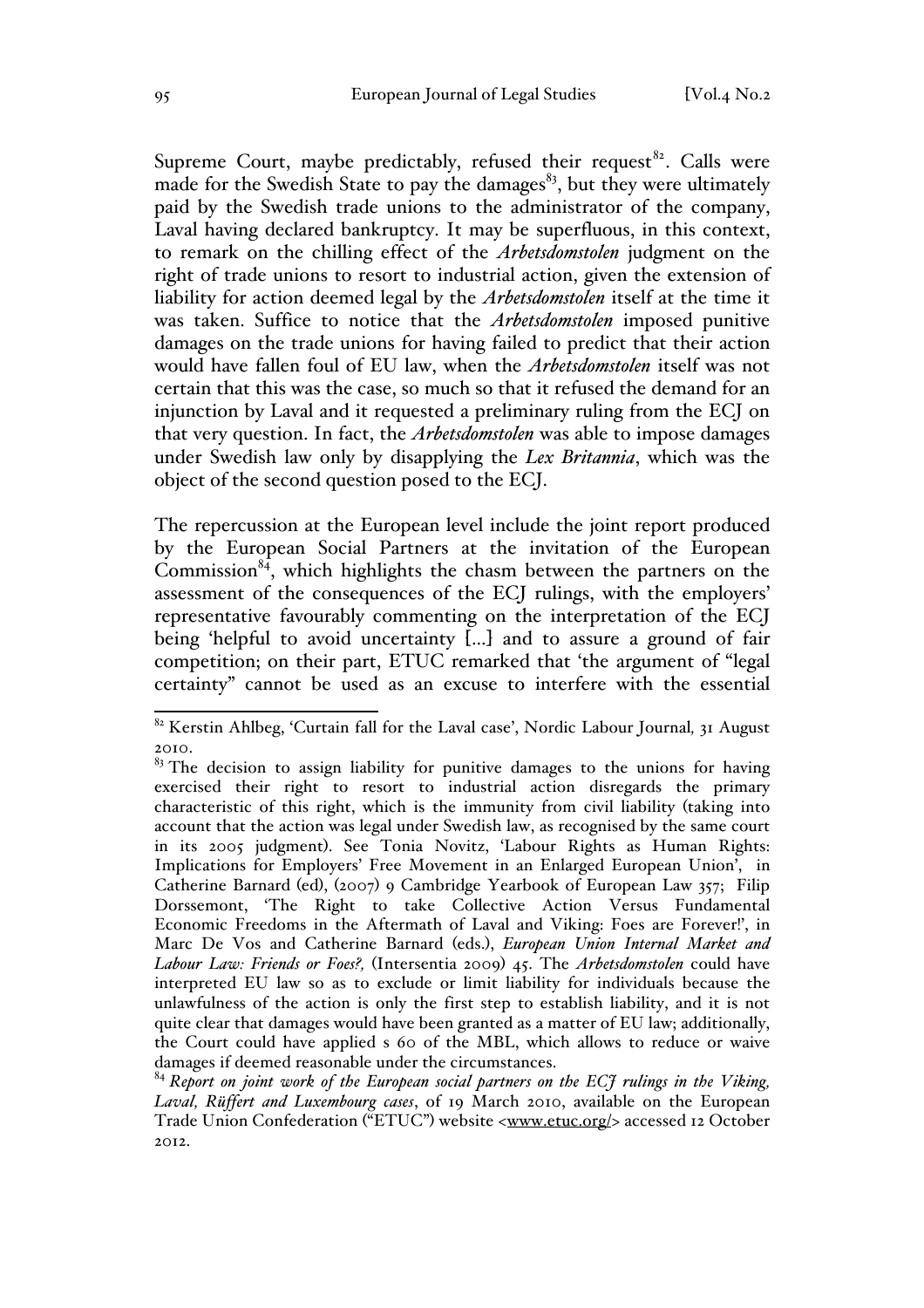Supreme Court, maybe predictably, refused their request<sup>82</sup>. Calls were made for the Swedish State to pay the damages<sup>83</sup>, but they were ultimately paid by the Swedish trade unions to the administrator of the company, Laval having declared bankruptcy. It may be superfluous, in this context, to remark on the chilling effect of the *Arbetsdomstolen* judgment on the right of trade unions to resort to industrial action, given the extension of liability for action deemed legal by the *Arbetsdomstolen* itself at the time it was taken. Suffice to notice that the *Arbetsdomstolen* imposed punitive damages on the trade unions for having failed to predict that their action would have fallen foul of EU law, when the *Arbetsdomstolen* itself was not certain that this was the case, so much so that it refused the demand for an injunction by Laval and it requested a preliminary ruling from the ECJ on that very question. In fact, the *Arbetsdomstolen* was able to impose damages under Swedish law only by disapplying the *Lex Britannia*, which was the object of the second question posed to the ECJ.

The repercussion at the European level include the joint report produced by the European Social Partners at the invitation of the European Commission $84$ , which highlights the chasm between the partners on the assessment of the consequences of the ECJ rulings, with the employers' representative favourably commenting on the interpretation of the ECJ being 'helpful to avoid uncertainty [...] and to assure a ground of fair competition; on their part, ETUC remarked that 'the argument of "legal certainty" cannot be used as an excuse to interfere with the essential

 <sup>82</sup> Kerstin Ahlbeg, 'Curtain fall for the Laval case', Nordic Labour Journal*,* 31 August 2010.

<sup>&</sup>lt;sup>83</sup> The decision to assign liability for punitive damages to the unions for having exercised their right to resort to industrial action disregards the primary characteristic of this right, which is the immunity from civil liability (taking into account that the action was legal under Swedish law, as recognised by the same court in its 2005 judgment). See Tonia Novitz, 'Labour Rights as Human Rights: Implications for Employers' Free Movement in an Enlarged European Union', in Catherine Barnard (ed), (2007) 9 Cambridge Yearbook of European Law 357; Filip Dorssemont, 'The Right to take Collective Action Versus Fundamental Economic Freedoms in the Aftermath of Laval and Viking: Foes are Forever!', in Marc De Vos and Catherine Barnard (eds.), *European Union Internal Market and Labour Law: Friends or Foes?,* (Intersentia 2009) 45. The *Arbetsdomstolen* could have interpreted EU law so as to exclude or limit liability for individuals because the unlawfulness of the action is only the first step to establish liability, and it is not quite clear that damages would have been granted as a matter of EU law; additionally, the Court could have applied s 60 of the MBL, which allows to reduce or waive damages if deemed reasonable under the circumstances.

<sup>84</sup> *Report on joint work of the European social partners on the ECJ rulings in the Viking, Laval, Rüffert and Luxembourg cases*, of 19 March 2010, available on the European Trade Union Confederation ("ETUC") website <www.etuc.org/> accessed 12 October 2012.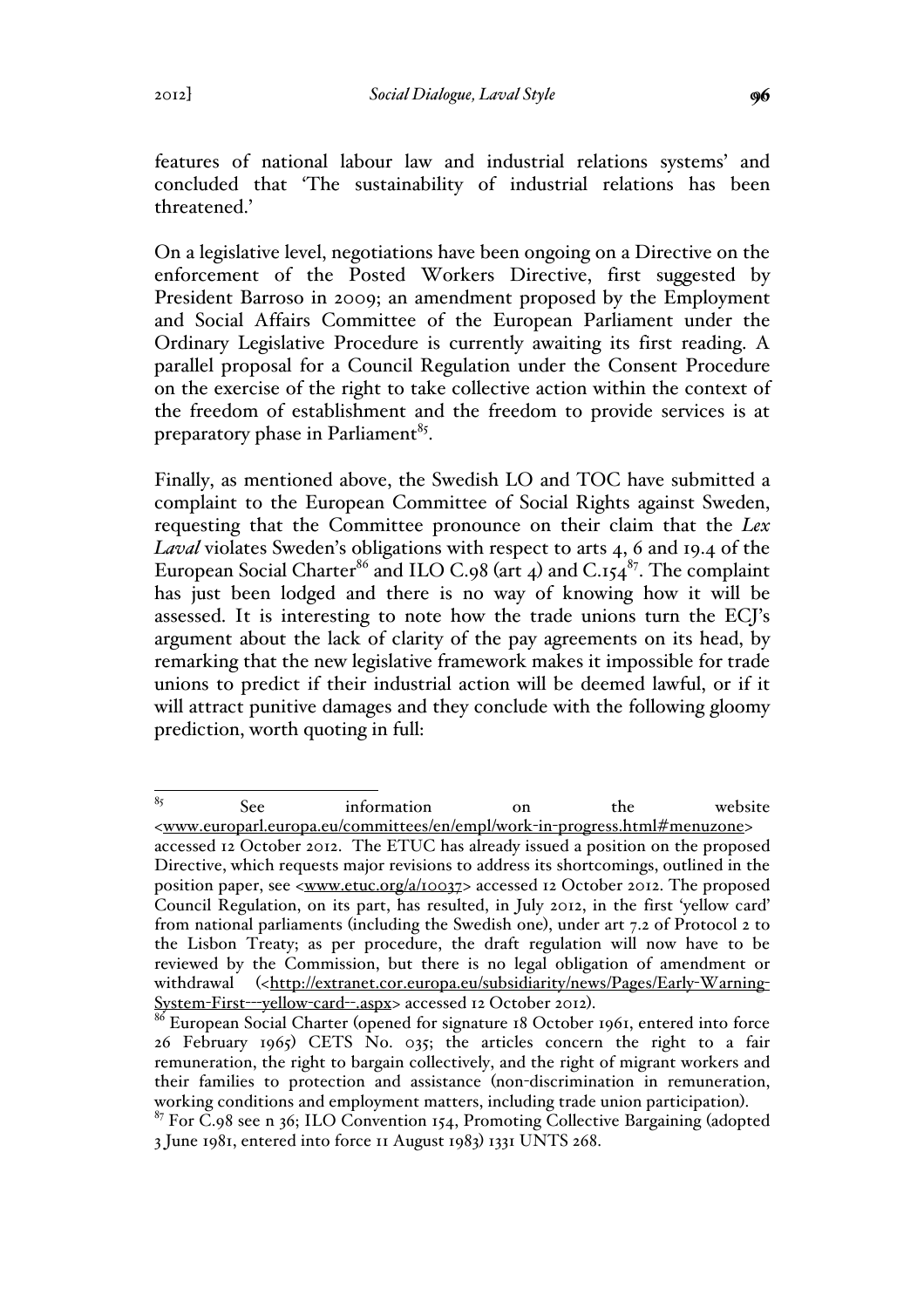features of national labour law and industrial relations systems' and concluded that 'The sustainability of industrial relations has been threatened.'

On a legislative level, negotiations have been ongoing on a Directive on the enforcement of the Posted Workers Directive, first suggested by President Barroso in 2009; an amendment proposed by the Employment and Social Affairs Committee of the European Parliament under the Ordinary Legislative Procedure is currently awaiting its first reading. A parallel proposal for a Council Regulation under the Consent Procedure on the exercise of the right to take collective action within the context of the freedom of establishment and the freedom to provide services is at preparatory phase in Parliament<sup>85</sup>.

Finally, as mentioned above, the Swedish LO and TOC have submitted a complaint to the European Committee of Social Rights against Sweden, requesting that the Committee pronounce on their claim that the *Lex Laval* violates Sweden's obligations with respect to arts 4, 6 and 19.4 of the European Social Charter<sup>86</sup> and ILO C.98 (art 4) and C.154<sup>87</sup>. The complaint has just been lodged and there is no way of knowing how it will be assessed. It is interesting to note how the trade unions turn the ECJ's argument about the lack of clarity of the pay agreements on its head, by remarking that the new legislative framework makes it impossible for trade unions to predict if their industrial action will be deemed lawful, or if it will attract punitive damages and they conclude with the following gloomy prediction, worth quoting in full:

<sup>85</sup> See information on the website <www.europarl.europa.eu/committees/en/empl/work-in-progress.html#menuzone> accessed 12 October 2012. The ETUC has already issued a position on the proposed Directive, which requests major revisions to address its shortcomings, outlined in the position paper, see <www.etuc.org/a/10037> accessed 12 October 2012. The proposed Council Regulation, on its part, has resulted, in July 2012, in the first 'yellow card' from national parliaments (including the Swedish one), under art 7.2 of Protocol 2 to the Lisbon Treaty; as per procedure, the draft regulation will now have to be reviewed by the Commission, but there is no legal obligation of amendment or withdrawal (<http://extranet.cor.europa.eu/subsidiarity/news/Pages/Early-Warning-System-First---yellow-card--.aspx> accessed 12 October 2012).<br><sup>86</sup> European Social Charter (opened for signature 18 October 1961, entered into force

<sup>26</sup> February 1965) CETS No. 035; the articles concern the right to a fair remuneration, the right to bargain collectively, and the right of migrant workers and their families to protection and assistance (non-discrimination in remuneration,

working conditions and employment matters, including trade union participation).<br><sup>87</sup> For C.98 see n 36; ILO Convention 154, Promoting Collective Bargaining (adopted 3 June 1981, entered into force 11 August 1983) 1331 UNTS 268.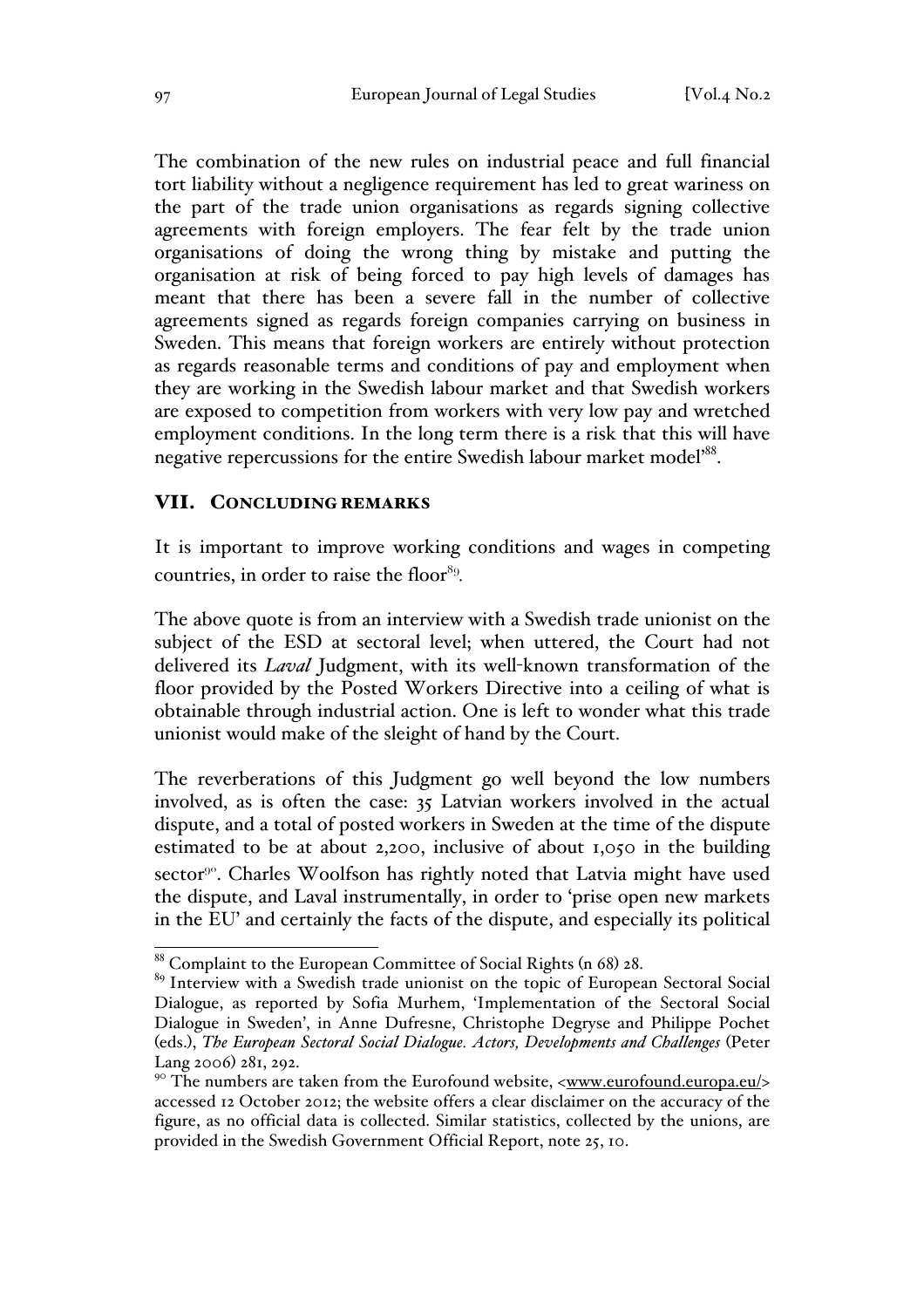The combination of the new rules on industrial peace and full financial tort liability without a negligence requirement has led to great wariness on the part of the trade union organisations as regards signing collective agreements with foreign employers. The fear felt by the trade union organisations of doing the wrong thing by mistake and putting the organisation at risk of being forced to pay high levels of damages has meant that there has been a severe fall in the number of collective agreements signed as regards foreign companies carrying on business in Sweden. This means that foreign workers are entirely without protection as regards reasonable terms and conditions of pay and employment when they are working in the Swedish labour market and that Swedish workers are exposed to competition from workers with very low pay and wretched employment conditions. In the long term there is a risk that this will have negative repercussions for the entire Swedish labour market model'88.

## VII. CONCLUDING REMARKS

It is important to improve working conditions and wages in competing countries, in order to raise the floor<sup>89</sup>.

The above quote is from an interview with a Swedish trade unionist on the subject of the ESD at sectoral level; when uttered, the Court had not delivered its *Laval* Judgment, with its well-known transformation of the floor provided by the Posted Workers Directive into a ceiling of what is obtainable through industrial action. One is left to wonder what this trade unionist would make of the sleight of hand by the Court.

The reverberations of this Judgment go well beyond the low numbers involved, as is often the case: 35 Latvian workers involved in the actual dispute, and a total of posted workers in Sweden at the time of the dispute estimated to be at about 2,200, inclusive of about 1,050 in the building sector<sup>90</sup>. Charles Woolfson has rightly noted that Latvia might have used the dispute, and Laval instrumentally, in order to 'prise open new markets in the EU' and certainly the facts of the dispute, and especially its political

 <sup>88</sup> Complaint to the European Committee of Social Rights (n 68) 28.

<sup>&</sup>lt;sup>89</sup> Interview with a Swedish trade unionist on the topic of European Sectoral Social Dialogue, as reported by Sofia Murhem, 'Implementation of the Sectoral Social Dialogue in Sweden', in Anne Dufresne, Christophe Degryse and Philippe Pochet (eds.), *The European Sectoral Social Dialogue. Actors, Developments and Challenges* (Peter Lang 2006) 281, 292.

<sup>&</sup>lt;sup>90</sup> The numbers are taken from the Eurofound website, <www.eurofound.europa.eu/> accessed 12 October 2012; the website offers a clear disclaimer on the accuracy of the figure, as no official data is collected. Similar statistics, collected by the unions, are provided in the Swedish Government Official Report, note 25, 10.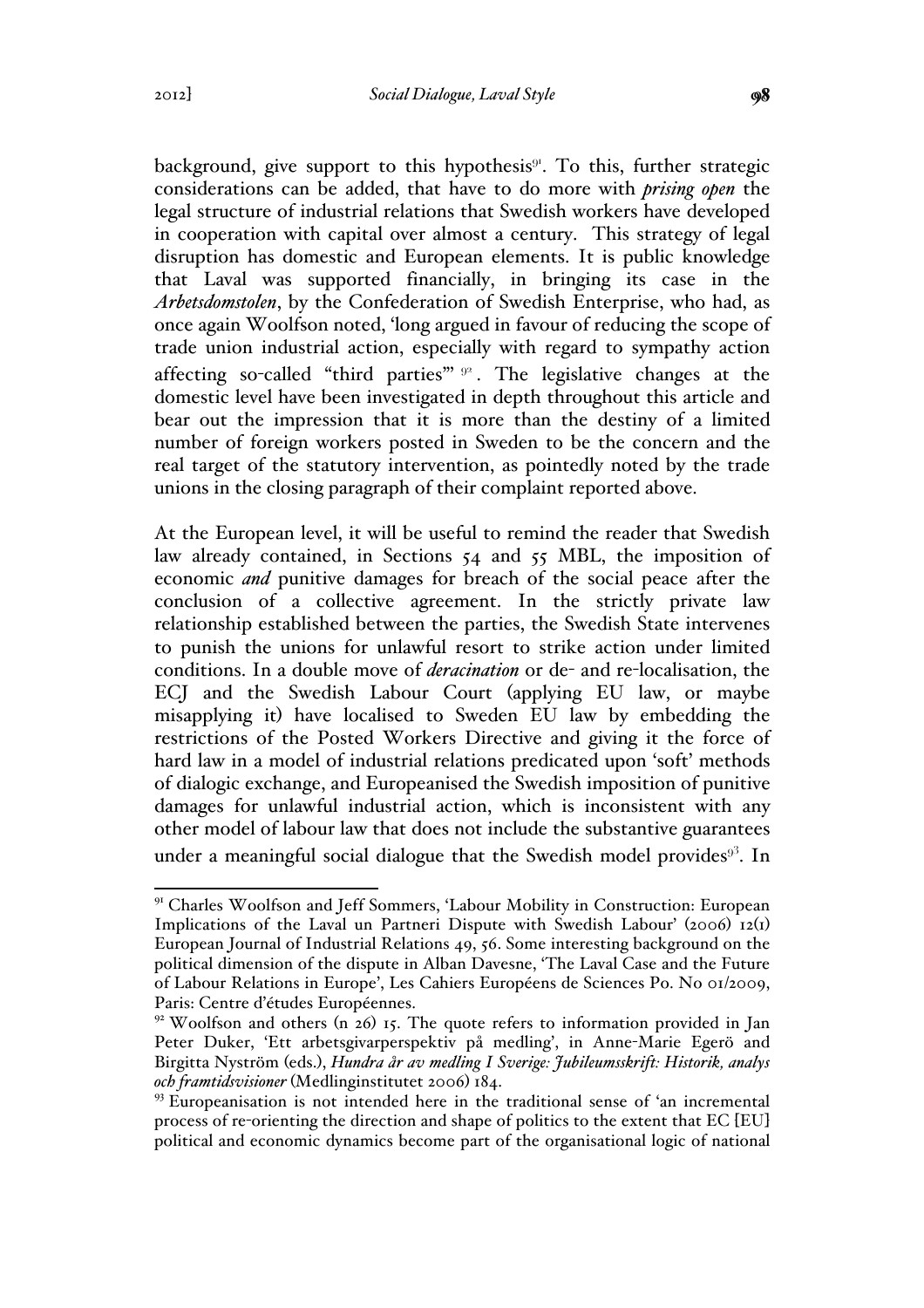background, give support to this hypothesis $9<sup>i</sup>$ . To this, further strategic considerations can be added, that have to do more with *prising open* the legal structure of industrial relations that Swedish workers have developed in cooperation with capital over almost a century. This strategy of legal disruption has domestic and European elements. It is public knowledge that Laval was supported financially, in bringing its case in the *Arbetsdomstolen*, by the Confederation of Swedish Enterprise, who had, as once again Woolfson noted, 'long argued in favour of reducing the scope of trade union industrial action, especially with regard to sympathy action affecting so-called "third parties" <sup>92</sup>. The legislative changes at the domestic level have been investigated in depth throughout this article and bear out the impression that it is more than the destiny of a limited number of foreign workers posted in Sweden to be the concern and the real target of the statutory intervention, as pointedly noted by the trade unions in the closing paragraph of their complaint reported above.

At the European level, it will be useful to remind the reader that Swedish law already contained, in Sections 54 and 55 MBL, the imposition of economic *and* punitive damages for breach of the social peace after the conclusion of a collective agreement. In the strictly private law relationship established between the parties, the Swedish State intervenes to punish the unions for unlawful resort to strike action under limited conditions. In a double move of *deracination* or de- and re-localisation, the ECJ and the Swedish Labour Court (applying EU law, or maybe misapplying it) have localised to Sweden EU law by embedding the restrictions of the Posted Workers Directive and giving it the force of hard law in a model of industrial relations predicated upon 'soft' methods of dialogic exchange, and Europeanised the Swedish imposition of punitive damages for unlawful industrial action, which is inconsistent with any other model of labour law that does not include the substantive guarantees under a meaningful social dialogue that the Swedish model provides $9<sup>3</sup>$ . In

<sup>&</sup>lt;sup>91</sup> Charles Woolfson and Jeff Sommers, 'Labour Mobility in Construction: European Implications of the Laval un Partneri Dispute with Swedish Labour' (2006) 12(1) European Journal of Industrial Relations 49, 56. Some interesting background on the political dimension of the dispute in Alban Davesne, 'The Laval Case and the Future of Labour Relations in Europe', Les Cahiers Européens de Sciences Po. No 01/2009, Paris: Centre d'études Européennes.

 $92$  Woolfson and others (n 26) 15. The quote refers to information provided in Jan Peter Duker, 'Ett arbetsgivarperspektiv på medling', in Anne-Marie Egerö and Birgitta Nyström (eds.), *Hundra år av medling I Sverige: Jubileumsskrift: Historik, analys och framtidsvisioner* (Medlinginstitutet 2006) 184.

<sup>93</sup> Europeanisation is not intended here in the traditional sense of 'an incremental process of re-orienting the direction and shape of politics to the extent that EC [EU] political and economic dynamics become part of the organisational logic of national